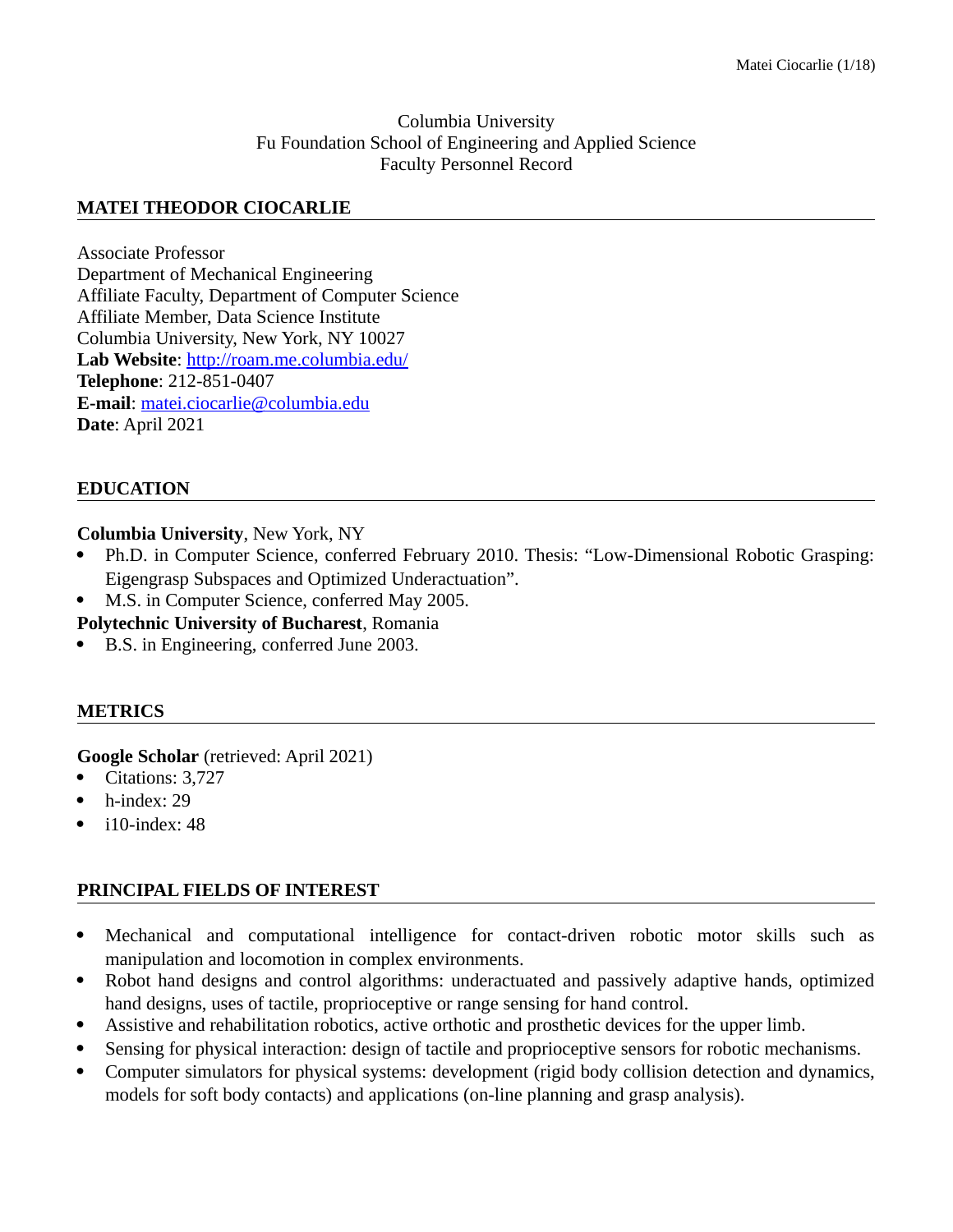#### Columbia University Fu Foundation School of Engineering and Applied Science Faculty Personnel Record

#### **MATEI THEODOR CIOCARLIE**

Associate Professor Department of Mechanical Engineering Affiliate Faculty, Department of Computer Science Affiliate Member, Data Science Institute Columbia University, New York, NY 10027 **Lab Website**:<http://roam.me.columbia.edu/> **Telephone**: 212-851-0407 **E-mail**: [matei.ciocarlie@columbia.edu](mailto:mtc2103@columbia.edu) **Date**: April 2021

### **EDUCATION**

**Columbia University**, New York, NY

- Ph.D. in Computer Science, conferred February 2010. Thesis: "Low-Dimensional Robotic Grasping: Eigengrasp Subspaces and Optimized Underactuation".
- M.S. in Computer Science, conferred May 2005.

**Polytechnic University of Bucharest**, Romania

B.S. in Engineering, conferred June 2003.

#### **METRICS**

**Google Scholar** (retrieved: April 2021)

- Citations: 3,727
- h-index: 29
- i10-index: 48

### **PRINCIPAL FIELDS OF INTEREST**

- Mechanical and computational intelligence for contact-driven robotic motor skills such as manipulation and locomotion in complex environments.
- Robot hand designs and control algorithms: underactuated and passively adaptive hands, optimized hand designs, uses of tactile, proprioceptive or range sensing for hand control.
- Assistive and rehabilitation robotics, active orthotic and prosthetic devices for the upper limb.
- Sensing for physical interaction: design of tactile and proprioceptive sensors for robotic mechanisms.
- Computer simulators for physical systems: development (rigid body collision detection and dynamics, models for soft body contacts) and applications (on-line planning and grasp analysis).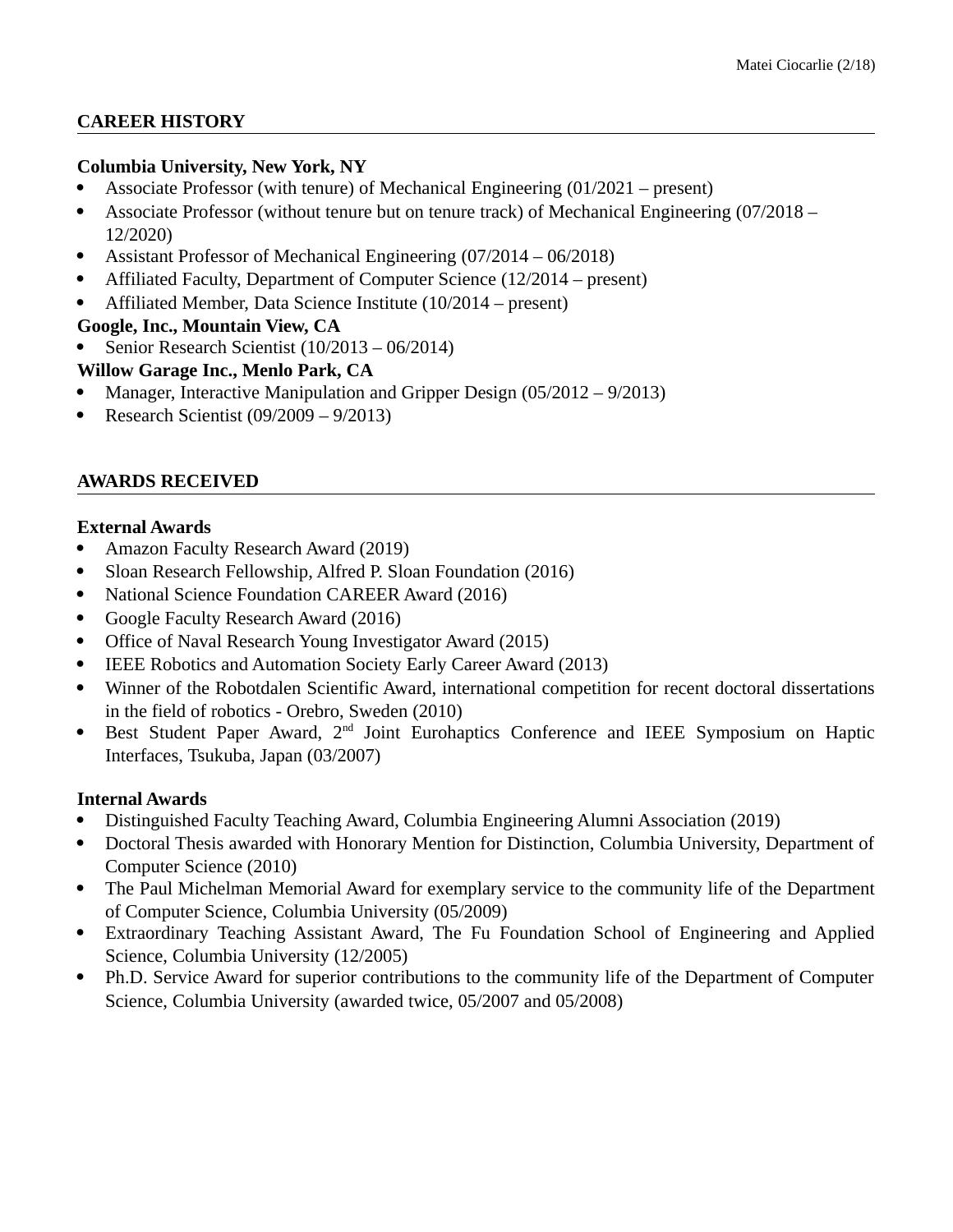# **CAREER HISTORY**

# **Columbia University, New York, NY**

- Associate Professor (with tenure) of Mechanical Engineering (01/2021 present)
- Associate Professor (without tenure but on tenure track) of Mechanical Engineering (07/2018 12/2020)
- Assistant Professor of Mechanical Engineering (07/2014 06/2018)
- Affiliated Faculty, Department of Computer Science (12/2014 present)
- Affiliated Member, Data Science Institute (10/2014 present)

**Google, Inc., Mountain View, CA**

Senior Research Scientist (10/2013 – 06/2014)

# **Willow Garage Inc., Menlo Park, CA**

- Manager, Interactive Manipulation and Gripper Design (05/2012 9/2013)
- Research Scientist (09/2009 9/2013)

# **AWARDS RECEIVED**

# **External Awards**

- Amazon Faculty Research Award (2019)
- Sloan Research Fellowship, Alfred P. Sloan Foundation (2016)
- National Science Foundation CAREER Award (2016)
- Google Faculty Research Award (2016)
- Office of Naval Research Young Investigator Award (2015)
- IEEE Robotics and Automation Society Early Career Award (2013)
- Winner of the Robotdalen Scientific Award, international competition for recent doctoral dissertations in the field of robotics - Orebro, Sweden (2010)
- Best Student Paper Award, 2<sup>nd</sup> Joint Eurohaptics Conference and IEEE Symposium on Haptic Interfaces, Tsukuba, Japan (03/2007)

### **Internal Awards**

- Distinguished Faculty Teaching Award, Columbia Engineering Alumni Association (2019)
- Doctoral Thesis awarded with Honorary Mention for Distinction, Columbia University, Department of Computer Science (2010)
- The Paul Michelman Memorial Award for exemplary service to the community life of the Department of Computer Science, Columbia University (05/2009)
- Extraordinary Teaching Assistant Award, The Fu Foundation School of Engineering and Applied Science, Columbia University (12/2005)
- Ph.D. Service Award for superior contributions to the community life of the Department of Computer Science, Columbia University (awarded twice, 05/2007 and 05/2008)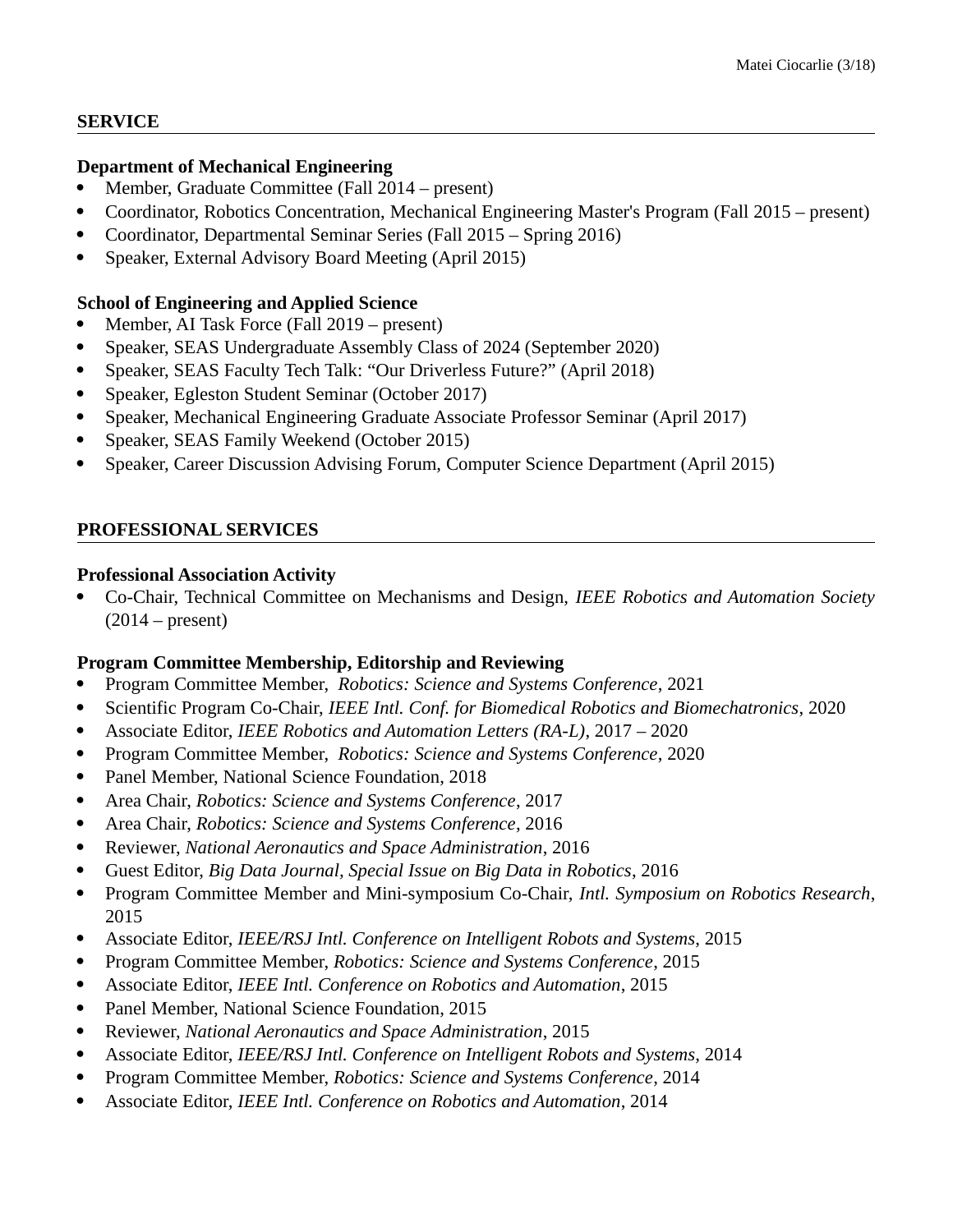#### **SERVICE**

#### **Department of Mechanical Engineering**

- Member, Graduate Committee (Fall 2014 present)
- Coordinator, Robotics Concentration, Mechanical Engineering Master's Program (Fall 2015 present)
- Coordinator, Departmental Seminar Series (Fall 2015 Spring 2016)
- Speaker, External Advisory Board Meeting (April 2015)

### **School of Engineering and Applied Science**

- Member, AI Task Force (Fall 2019 present)
- Speaker, SEAS Undergraduate Assembly Class of 2024 (September 2020)
- Speaker, SEAS Faculty Tech Talk: "Our Driverless Future?" (April 2018)
- Speaker, Egleston Student Seminar (October 2017)
- Speaker, Mechanical Engineering Graduate Associate Professor Seminar (April 2017)
- Speaker, SEAS Family Weekend (October 2015)
- Speaker, Career Discussion Advising Forum, Computer Science Department (April 2015)

### **PROFESSIONAL SERVICES**

#### **Professional Association Activity**

 Co-Chair, Technical Committee on Mechanisms and Design, *IEEE Robotics and Automation Society*  $(2014 - present)$ 

### **Program Committee Membership, Editorship and Reviewing**

- Program Committee Member, *Robotics: Science and Systems Conference*, 2021
- Scientific Program Co-Chair, *IEEE Intl. Conf. for Biomedical Robotics and Biomechatronics*, 2020
- Associate Editor, *IEEE Robotics and Automation Letters (RA-L)*, 2017 2020
- Program Committee Member, *Robotics: Science and Systems Conference*, 2020
- Panel Member, National Science Foundation, 2018
- Area Chair, *Robotics: Science and Systems Conference*, 2017
- Area Chair, *Robotics: Science and Systems Conference*, 2016
- Reviewer, *National Aeronautics and Space Administration*, 2016
- Guest Editor, *Big Data Journal, Special Issue on Big Data in Robotics*, 2016
- Program Committee Member and Mini-symposium Co-Chair, *Intl. Symposium on Robotics Research*, 2015
- Associate Editor, *IEEE/RSJ Intl. Conference on Intelligent Robots and Systems*, 2015
- Program Committee Member, *Robotics: Science and Systems Conference*, 2015
- Associate Editor, *IEEE Intl. Conference on Robotics and Automation*, 2015
- Panel Member, National Science Foundation, 2015
- Reviewer, *National Aeronautics and Space Administration*, 2015
- Associate Editor, *IEEE/RSJ Intl. Conference on Intelligent Robots and Systems*, 2014
- Program Committee Member, *Robotics: Science and Systems Conference*, 2014
- Associate Editor, *IEEE Intl. Conference on Robotics and Automation*, 2014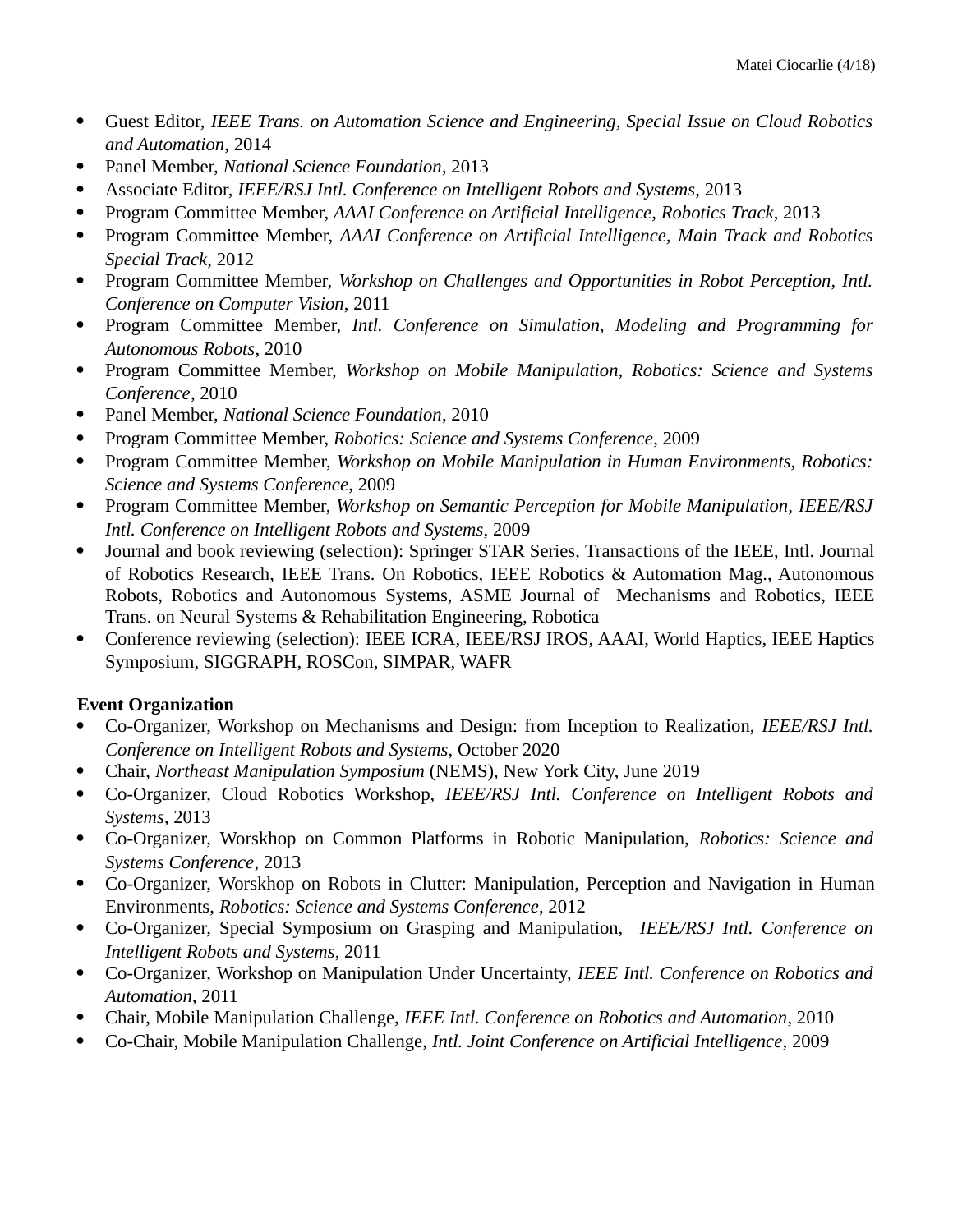- Guest Editor, *IEEE Trans. on Automation Science and Engineering, Special Issue on Cloud Robotics and Automation*, 2014
- Panel Member, *National Science Foundation*, 2013
- Associate Editor, *IEEE/RSJ Intl. Conference on Intelligent Robots and Systems*, 2013
- Program Committee Member, *AAAI Conference on Artificial Intelligence, Robotics Track*, 2013
- Program Committee Member, *AAAI Conference on Artificial Intelligence, Main Track and Robotics Special Track*, 2012
- Program Committee Member, *Workshop on Challenges and Opportunities in Robot Perception, Intl. Conference on Computer Vision*, 2011
- Program Committee Member, *Intl. Conference on Simulation, Modeling and Programming for Autonomous Robots*, 2010
- Program Committee Member, *Workshop on Mobile Manipulation, Robotics: Science and Systems Conference*, 2010
- Panel Member, *National Science Foundation*, 2010
- Program Committee Member, *Robotics: Science and Systems Conference*, 2009
- Program Committee Member, *Workshop on Mobile Manipulation in Human Environments, Robotics: Science and Systems Conference*, 2009
- Program Committee Member, *Workshop on Semantic Perception for Mobile Manipulation, IEEE/RSJ Intl. Conference on Intelligent Robots and Systems*, 2009
- Journal and book reviewing (selection): Springer STAR Series, Transactions of the IEEE, Intl. Journal of Robotics Research, IEEE Trans. On Robotics, IEEE Robotics & Automation Mag., Autonomous Robots, Robotics and Autonomous Systems, ASME Journal of Mechanisms and Robotics, IEEE Trans. on Neural Systems & Rehabilitation Engineering, Robotica
- Conference reviewing (selection): IEEE ICRA, IEEE/RSJ IROS, AAAI, World Haptics, IEEE Haptics Symposium, SIGGRAPH, ROSCon, SIMPAR, WAFR

# **Event Organization**

- Co-Organizer, Workshop on Mechanisms and Design: from Inception to Realization, *IEEE/RSJ Intl. Conference on Intelligent Robots and Systems*, October 2020
- Chair, *Northeast Manipulation Symposium* (NEMS), New York City, June 2019
- Co-Organizer, Cloud Robotics Workshop, *IEEE/RSJ Intl. Conference on Intelligent Robots and Systems*, 2013
- Co-Organizer, Worskhop on Common Platforms in Robotic Manipulation, *Robotics: Science and Systems Conference*, 2013
- Co-Organizer, Worskhop on Robots in Clutter: Manipulation, Perception and Navigation in Human Environments, *Robotics: Science and Systems Conference*, 2012
- Co-Organizer, Special Symposium on Grasping and Manipulation, *IEEE/RSJ Intl. Conference on Intelligent Robots and Systems*, 2011
- Co-Organizer, Workshop on Manipulation Under Uncertainty, *IEEE Intl. Conference on Robotics and Automation*, 2011
- Chair, Mobile Manipulation Challenge, *IEEE Intl. Conference on Robotics and Automation*, 2010
- Co-Chair, Mobile Manipulation Challenge, *Intl. Joint Conference on Artificial Intelligence*, 2009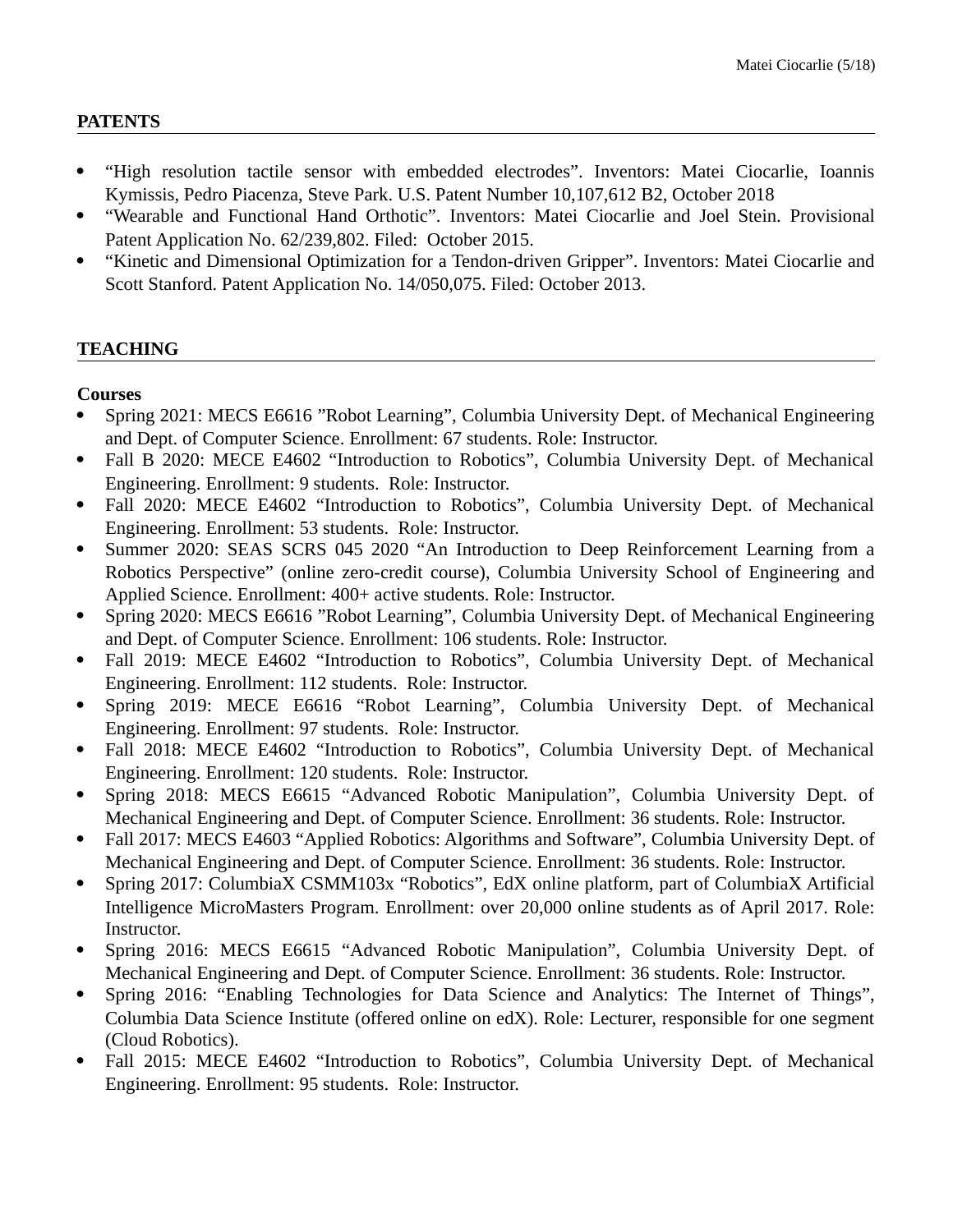#### **PATENTS**

- "High resolution tactile sensor with embedded electrodes". Inventors: Matei Ciocarlie, Ioannis Kymissis, Pedro Piacenza, Steve Park. U.S. Patent Number 10,107,612 B2, October 2018
- "Wearable and Functional Hand Orthotic". Inventors: Matei Ciocarlie and Joel Stein. Provisional Patent Application No. 62/239,802. Filed: October 2015.
- "Kinetic and Dimensional Optimization for a Tendon-driven Gripper". Inventors: Matei Ciocarlie and Scott Stanford. Patent Application No. 14/050,075. Filed: October 2013.

# **TEACHING**

### **Courses**

- Spring 2021: MECS E6616 "Robot Learning", Columbia University Dept. of Mechanical Engineering and Dept. of Computer Science. Enrollment: 67 students. Role: Instructor.
- Fall B 2020: MECE E4602 "Introduction to Robotics", Columbia University Dept. of Mechanical Engineering. Enrollment: 9 students. Role: Instructor.
- Fall 2020: MECE E4602 "Introduction to Robotics", Columbia University Dept. of Mechanical Engineering. Enrollment: 53 students. Role: Instructor.
- Summer 2020: SEAS SCRS 045 2020 "An Introduction to Deep Reinforcement Learning from a Robotics Perspective" (online zero-credit course), Columbia University School of Engineering and Applied Science. Enrollment: 400+ active students. Role: Instructor.
- Spring 2020: MECS E6616 "Robot Learning", Columbia University Dept. of Mechanical Engineering and Dept. of Computer Science. Enrollment: 106 students. Role: Instructor.
- Fall 2019: MECE E4602 "Introduction to Robotics", Columbia University Dept. of Mechanical Engineering. Enrollment: 112 students. Role: Instructor.
- Spring 2019: MECE E6616 "Robot Learning", Columbia University Dept. of Mechanical Engineering. Enrollment: 97 students. Role: Instructor.
- Fall 2018: MECE E4602 "Introduction to Robotics", Columbia University Dept. of Mechanical Engineering. Enrollment: 120 students. Role: Instructor.
- Spring 2018: MECS E6615 "Advanced Robotic Manipulation", Columbia University Dept. of Mechanical Engineering and Dept. of Computer Science. Enrollment: 36 students. Role: Instructor.
- Fall 2017: MECS E4603 "Applied Robotics: Algorithms and Software", Columbia University Dept. of Mechanical Engineering and Dept. of Computer Science. Enrollment: 36 students. Role: Instructor.
- Spring 2017: ColumbiaX CSMM103x "Robotics", EdX online platform, part of ColumbiaX Artificial Intelligence MicroMasters Program. Enrollment: over 20,000 online students as of April 2017. Role: Instructor.
- Spring 2016: MECS E6615 "Advanced Robotic Manipulation", Columbia University Dept. of Mechanical Engineering and Dept. of Computer Science. Enrollment: 36 students. Role: Instructor.
- Spring 2016: "Enabling Technologies for Data Science and Analytics: The Internet of Things", Columbia Data Science Institute (offered online on edX). Role: Lecturer, responsible for one segment (Cloud Robotics).
- Fall 2015: MECE E4602 "Introduction to Robotics", Columbia University Dept. of Mechanical Engineering. Enrollment: 95 students. Role: Instructor.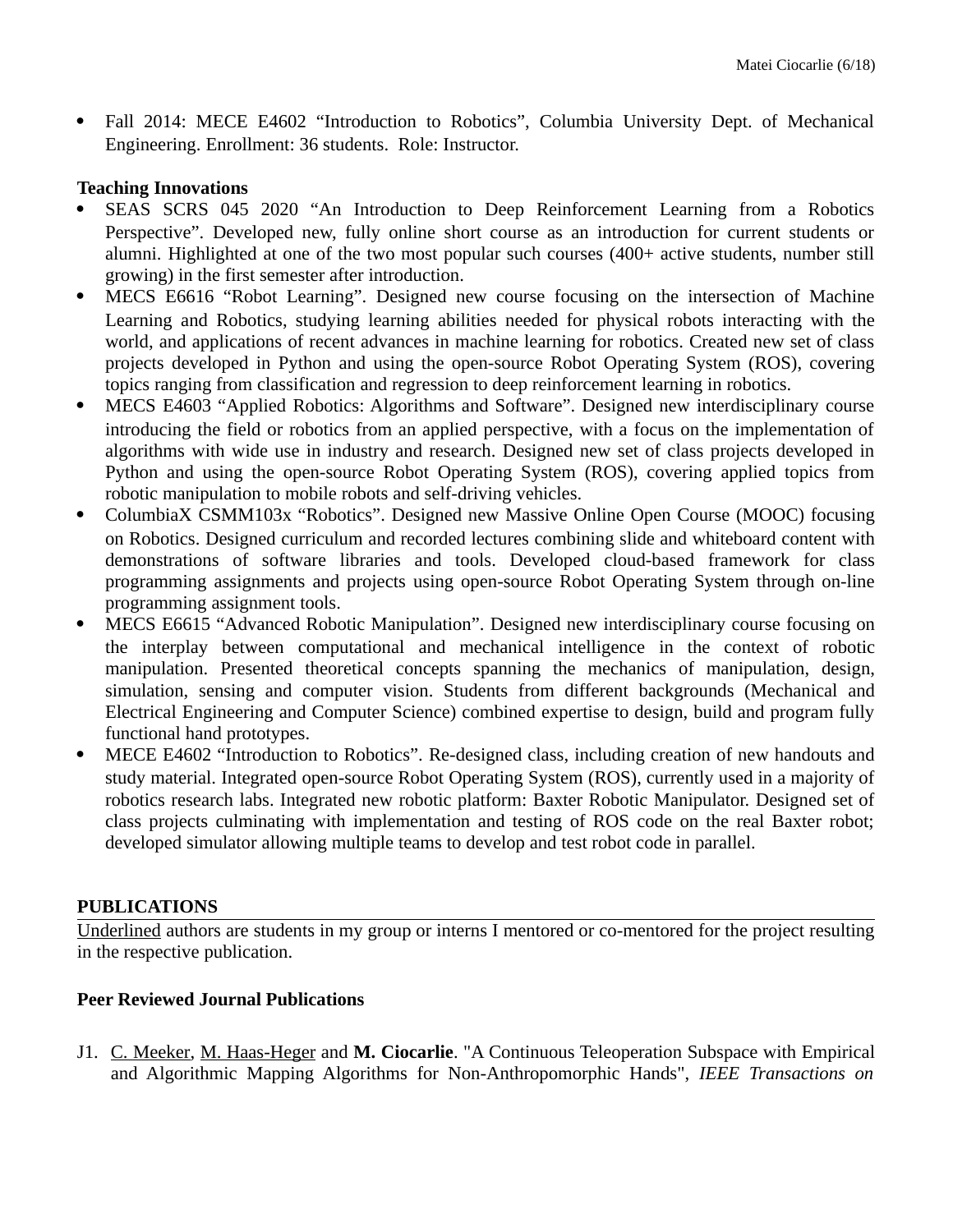Fall 2014: MECE E4602 "Introduction to Robotics", Columbia University Dept. of Mechanical Engineering. Enrollment: 36 students. Role: Instructor.

#### **Teaching Innovations**

- SEAS SCRS 045 2020 "An Introduction to Deep Reinforcement Learning from a Robotics Perspective". Developed new, fully online short course as an introduction for current students or alumni. Highlighted at one of the two most popular such courses (400+ active students, number still growing) in the first semester after introduction.
- MECS E6616 "Robot Learning". Designed new course focusing on the intersection of Machine Learning and Robotics, studying learning abilities needed for physical robots interacting with the world, and applications of recent advances in machine learning for robotics. Created new set of class projects developed in Python and using the open-source Robot Operating System (ROS), covering topics ranging from classification and regression to deep reinforcement learning in robotics.
- MECS E4603 "Applied Robotics: Algorithms and Software". Designed new interdisciplinary course introducing the field or robotics from an applied perspective, with a focus on the implementation of algorithms with wide use in industry and research. Designed new set of class projects developed in Python and using the open-source Robot Operating System (ROS), covering applied topics from robotic manipulation to mobile robots and self-driving vehicles.
- ColumbiaX CSMM103x "Robotics". Designed new Massive Online Open Course (MOOC) focusing on Robotics. Designed curriculum and recorded lectures combining slide and whiteboard content with demonstrations of software libraries and tools. Developed cloud-based framework for class programming assignments and projects using open-source Robot Operating System through on-line programming assignment tools.
- MECS E6615 "Advanced Robotic Manipulation". Designed new interdisciplinary course focusing on the interplay between computational and mechanical intelligence in the context of robotic manipulation. Presented theoretical concepts spanning the mechanics of manipulation, design, simulation, sensing and computer vision. Students from different backgrounds (Mechanical and Electrical Engineering and Computer Science) combined expertise to design, build and program fully functional hand prototypes.
- MECE E4602 "Introduction to Robotics". Re-designed class, including creation of new handouts and study material. Integrated open-source Robot Operating System (ROS), currently used in a majority of robotics research labs. Integrated new robotic platform: Baxter Robotic Manipulator. Designed set of class projects culminating with implementation and testing of ROS code on the real Baxter robot; developed simulator allowing multiple teams to develop and test robot code in parallel.

#### **PUBLICATIONS**

Underlined authors are students in my group or interns I mentored or co-mentored for the project resulting in the respective publication.

### **Peer Reviewed Journal Publications**

J1. C. Meeker, M. Haas-Heger and **M. Ciocarlie**. "A Continuous Teleoperation Subspace with Empirical and Algorithmic Mapping Algorithms for Non-Anthropomorphic Hands", *IEEE Transactions on*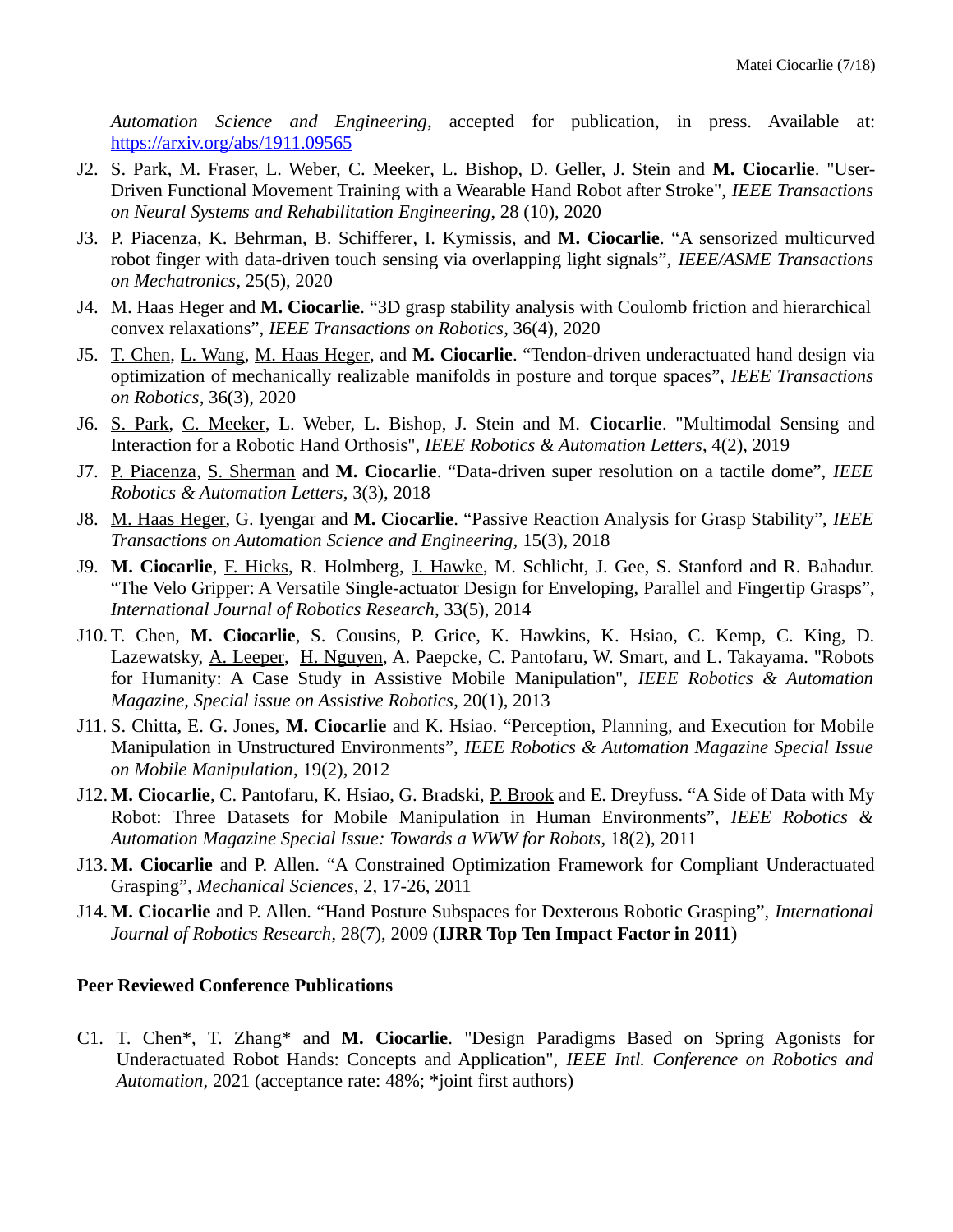*Automation Science and Engineering*, accepted for publication, in press. Available at: <https://arxiv.org/abs/1911.09565>

- J2. S. Park, M. Fraser, L. Weber, C. Meeker, L. Bishop, D. Geller, J. Stein and **M. Ciocarlie**. "User-Driven Functional Movement Training with a Wearable Hand Robot after Stroke", *IEEE Transactions on Neural Systems and Rehabilitation Engineering*, 28 (10), 2020
- J3. P. Piacenza, K. Behrman, B. Schifferer, I. Kymissis, and **M. Ciocarlie**. "A sensorized multicurved robot finger with data-driven touch sensing via overlapping light signals", *IEEE/ASME Transactions on Mechatronics*, 25(5), 2020
- J4. M. Haas Heger and **M. Ciocarlie**. "3D grasp stability analysis with Coulomb friction and hierarchical convex relaxations", *IEEE Transactions on Robotics*, 36(4), 2020
- J5. T. Chen, L. Wang, M. Haas Heger, and **M. Ciocarlie**. "Tendon-driven underactuated hand design via optimization of mechanically realizable manifolds in posture and torque spaces", *IEEE Transactions on Robotics*, 36(3), 2020
- J6. S. Park, C. Meeker, L. Weber, L. Bishop, J. Stein and M. **Ciocarlie**. "Multimodal Sensing and Interaction for a Robotic Hand Orthosis", *IEEE Robotics & Automation Letters*, 4(2), 2019
- J7. P. Piacenza, S. Sherman and **M. Ciocarlie**. "Data-driven super resolution on a tactile dome", *IEEE Robotics & Automation Letters*, 3(3), 2018
- J8. M. Haas Heger, G. Iyengar and **M. Ciocarlie**. "Passive Reaction Analysis for Grasp Stability", *IEEE Transactions on Automation Science and Engineering,* 15(3), 2018
- J9. **M. Ciocarlie**, F. Hicks, R. Holmberg, J. Hawke, M. Schlicht, J. Gee, S. Stanford and R. Bahadur. "The Velo Gripper: A Versatile Single-actuator Design for Enveloping, Parallel and Fingertip Grasps", *International Journal of Robotics Research*, 33(5), 2014
- J10. T. Chen, **M. Ciocarlie**, S. Cousins, P. Grice, K. Hawkins, K. Hsiao, C. Kemp, C. King, D. Lazewatsky, A. Leeper, H. Nguyen, A. Paepcke, C. Pantofaru, W. Smart, and L. Takayama. "Robots for Humanity: A Case Study in Assistive Mobile Manipulation", *IEEE Robotics & Automation Magazine, Special issue on Assistive Robotics*, 20(1), 2013
- J11. S. Chitta, E. G. Jones, **M. Ciocarlie** and K. Hsiao. "Perception, Planning, and Execution for Mobile Manipulation in Unstructured Environments", *IEEE Robotics & Automation Magazine Special Issue on Mobile Manipulation*, 19(2), 2012
- J12. **M. Ciocarlie**, C. Pantofaru, K. Hsiao, G. Bradski, P. Brook and E. Dreyfuss. "A Side of Data with My Robot: Three Datasets for Mobile Manipulation in Human Environments", *IEEE Robotics & Automation Magazine Special Issue: Towards a WWW for Robots*, 18(2), 2011
- J13. **M. Ciocarlie** and P. Allen. "A Constrained Optimization Framework for Compliant Underactuated Grasping", *Mechanical Sciences*, 2, 17-26, 2011
- J14. **M. Ciocarlie** and P. Allen. "Hand Posture Subspaces for Dexterous Robotic Grasping", *International Journal of Robotics Research*, 28(7), 2009 (**IJRR Top Ten Impact Factor in 2011**)

### **Peer Reviewed Conference Publications**

C1. T. Chen\*, T. Zhang\* and **M. Ciocarlie**. "Design Paradigms Based on Spring Agonists for Underactuated Robot Hands: Concepts and Application", *IEEE Intl. Conference on Robotics and Automation*, 2021 (acceptance rate: 48%; \*joint first authors)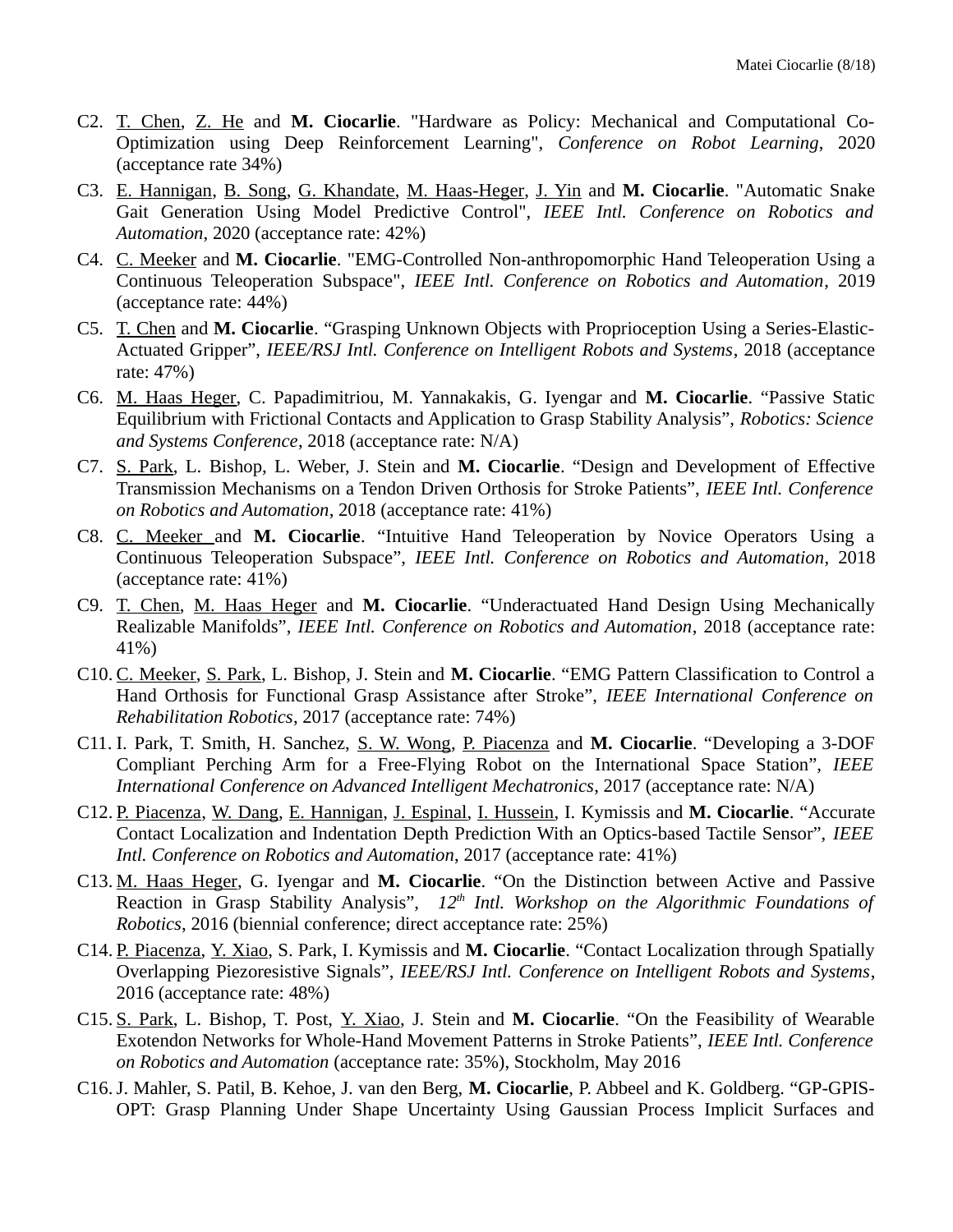- C2. T. Chen, Z. He and **M. Ciocarlie**. "Hardware as Policy: Mechanical and Computational Co-Optimization using Deep Reinforcement Learning", *Conference on Robot Learning*, 2020 (acceptance rate 34%)
- C3. E. Hannigan, B. Song, G. Khandate, M. Haas-Heger, J. Yin and **M. Ciocarlie**. "Automatic Snake Gait Generation Using Model Predictive Control", *IEEE Intl. Conference on Robotics and Automation*, 2020 (acceptance rate: 42%)
- C4. C. Meeker and **M. Ciocarlie**. "EMG-Controlled Non-anthropomorphic Hand Teleoperation Using a Continuous Teleoperation Subspace", *IEEE Intl. Conference on Robotics and Automation*, 2019 (acceptance rate: 44%)
- C5. T. Chen and **M. Ciocarlie**. "Grasping Unknown Objects with Proprioception Using a Series-Elastic-Actuated Gripper", *IEEE/RSJ Intl. Conference on Intelligent Robots and Systems*, 2018 (acceptance rate: 47%)
- C6. M. Haas Heger, C. Papadimitriou, M. Yannakakis, G. Iyengar and **M. Ciocarlie**. "Passive Static Equilibrium with Frictional Contacts and Application to Grasp Stability Analysis", *Robotics: Science and Systems Conference*, 2018 (acceptance rate: N/A)
- C7. S. Park, L. Bishop, L. Weber, J. Stein and **M. Ciocarlie**. "Design and Development of Effective Transmission Mechanisms on a Tendon Driven Orthosis for Stroke Patients", *IEEE Intl. Conference on Robotics and Automation*, 2018 (acceptance rate: 41%)
- C8. C. Meeker and **M. Ciocarlie**. "Intuitive Hand Teleoperation by Novice Operators Using a Continuous Teleoperation Subspace", *IEEE Intl. Conference on Robotics and Automation*, 2018 (acceptance rate: 41%)
- C9. T. Chen, M. Haas Heger and **M. Ciocarlie**. "Underactuated Hand Design Using Mechanically Realizable Manifolds", *IEEE Intl. Conference on Robotics and Automation*, 2018 (acceptance rate: 41%)
- C10. C. Meeker, S. Park, L. Bishop, J. Stein and **M. Ciocarlie**. "EMG Pattern Classification to Control a Hand Orthosis for Functional Grasp Assistance after Stroke", *IEEE International Conference on Rehabilitation Robotics*, 2017 (acceptance rate: 74%)
- C11. I. Park, T. Smith, H. Sanchez, S. W. Wong, P. Piacenza and **M. Ciocarlie**. "Developing a 3-DOF Compliant Perching Arm for a Free-Flying Robot on the International Space Station", *IEEE International Conference on Advanced Intelligent Mechatronics*, 2017 (acceptance rate: N/A)
- C12. P. Piacenza, W. Dang, E. Hannigan, J. Espinal, I. Hussein, I. Kymissis and **M. Ciocarlie**. "Accurate Contact Localization and Indentation Depth Prediction With an Optics-based Tactile Sensor", *IEEE Intl. Conference on Robotics and Automation*, 2017 (acceptance rate: 41%)
- C13. M. Haas Heger, G. Iyengar and **M. Ciocarlie**. "On the Distinction between Active and Passive Reaction in Grasp Stability Analysis", *12th Intl. Workshop on the Algorithmic Foundations of Robotics*, 2016 (biennial conference; direct acceptance rate: 25%)
- C14. P. Piacenza, Y. Xiao, S. Park, I. Kymissis and **M. Ciocarlie**. "Contact Localization through Spatially Overlapping Piezoresistive Signals", *IEEE/RSJ Intl. Conference on Intelligent Robots and Systems*, 2016 (acceptance rate: 48%)
- C15. S. Park, L. Bishop, T. Post, Y. Xiao, J. Stein and **M. Ciocarlie**. "On the Feasibility of Wearable Exotendon Networks for Whole-Hand Movement Patterns in Stroke Patients", *IEEE Intl. Conference on Robotics and Automation* (acceptance rate: 35%), Stockholm, May 2016
- C16.J. Mahler, S. Patil, B. Kehoe, J. van den Berg, **M. Ciocarlie**, P. Abbeel and K. Goldberg. "GP-GPIS-OPT: Grasp Planning Under Shape Uncertainty Using Gaussian Process Implicit Surfaces and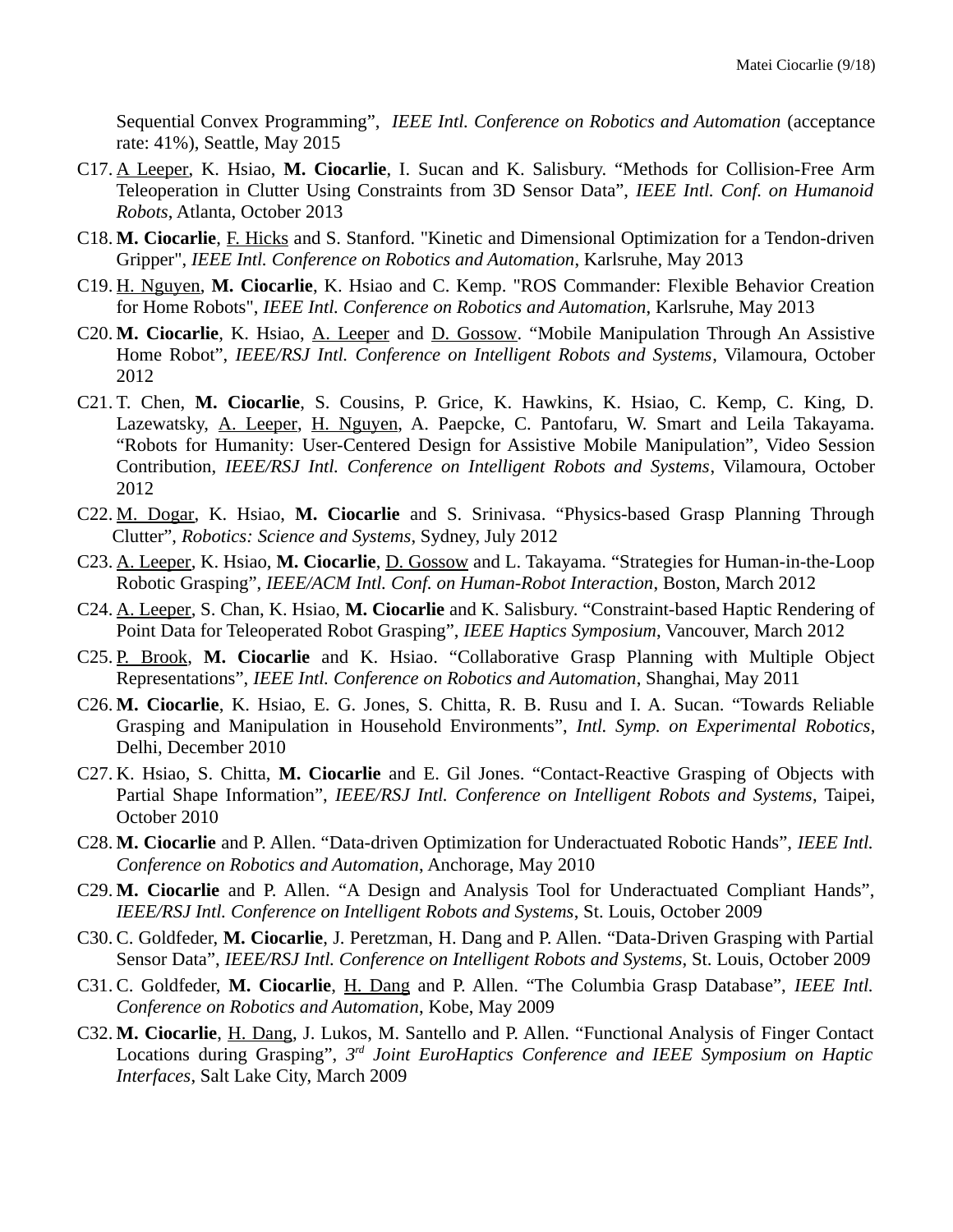Sequential Convex Programming", *IEEE Intl. Conference on Robotics and Automation* (acceptance rate: 41%), Seattle, May 2015

- C17. A Leeper, K. Hsiao, **M. Ciocarlie**, I. Sucan and K. Salisbury. "Methods for Collision-Free Arm Teleoperation in Clutter Using Constraints from 3D Sensor Data", *IEEE Intl. Conf. on Humanoid Robots*, Atlanta, October 2013
- C18. **M. Ciocarlie**, F. Hicks and S. Stanford. "Kinetic and Dimensional Optimization for a Tendon-driven Gripper", *IEEE Intl. Conference on Robotics and Automation*, Karlsruhe, May 2013
- C19. H. Nguyen, **M. Ciocarlie**, K. Hsiao and C. Kemp. "ROS Commander: Flexible Behavior Creation for Home Robots", *IEEE Intl. Conference on Robotics and Automation*, Karlsruhe, May 2013
- C20. **M. Ciocarlie**, K. Hsiao, A. Leeper and D. Gossow. "Mobile Manipulation Through An Assistive Home Robot", *IEEE/RSJ Intl. Conference on Intelligent Robots and Systems*, Vilamoura, October 2012
- C21. T. Chen, **M. Ciocarlie**, S. Cousins, P. Grice, K. Hawkins, K. Hsiao, C. Kemp, C. King, D. Lazewatsky, A. Leeper, H. Nguyen, A. Paepcke, C. Pantofaru, W. Smart and Leila Takayama. "Robots for Humanity: User-Centered Design for Assistive Mobile Manipulation", Video Session Contribution, *IEEE/RSJ Intl. Conference on Intelligent Robots and Systems*, Vilamoura, October 2012
- C22. M. Dogar, K. Hsiao, **M. Ciocarlie** and S. Srinivasa. "Physics-based Grasp Planning Through Clutter", *Robotics: Science and Systems*, Sydney, July 2012
- C23. A. Leeper, K. Hsiao, **M. Ciocarlie**, D. Gossow and L. Takayama. "Strategies for Human-in-the-Loop Robotic Grasping", *IEEE/ACM Intl. Conf. on Human-Robot Interaction*, Boston, March 2012
- C24. A. Leeper, S. Chan, K. Hsiao, **M. Ciocarlie** and K. Salisbury. "Constraint-based Haptic Rendering of Point Data for Teleoperated Robot Grasping", *IEEE Haptics Symposium*, Vancouver, March 2012
- C25. P. Brook, M. Ciocarlie and K. Hsiao. "Collaborative Grasp Planning with Multiple Object Representations", *IEEE Intl. Conference on Robotics and Automation*, Shanghai, May 2011
- C26. **M. Ciocarlie**, K. Hsiao, E. G. Jones, S. Chitta, R. B. Rusu and I. A. Sucan. "Towards Reliable Grasping and Manipulation in Household Environments", *Intl. Symp. on Experimental Robotics*, Delhi, December 2010
- C27. K. Hsiao, S. Chitta, **M. Ciocarlie** and E. Gil Jones. "Contact-Reactive Grasping of Objects with Partial Shape Information", *IEEE/RSJ Intl. Conference on Intelligent Robots and Systems*, Taipei, October 2010
- C28. **M. Ciocarlie** and P. Allen. "Data-driven Optimization for Underactuated Robotic Hands", *IEEE Intl. Conference on Robotics and Automation*, Anchorage, May 2010
- C29. **M. Ciocarlie** and P. Allen. "A Design and Analysis Tool for Underactuated Compliant Hands", *IEEE/RSJ Intl. Conference on Intelligent Robots and Systems*, St. Louis, October 2009
- C30. C. Goldfeder, **M. Ciocarlie**, J. Peretzman, H. Dang and P. Allen. "Data-Driven Grasping with Partial Sensor Data", *IEEE/RSJ Intl. Conference on Intelligent Robots and Systems*, St. Louis, October 2009
- C31. C. Goldfeder, **M. Ciocarlie**, H. Dang and P. Allen. "The Columbia Grasp Database", *IEEE Intl. Conference on Robotics and Automation*, Kobe, May 2009
- C32. **M. Ciocarlie**, H. Dang, J. Lukos, M. Santello and P. Allen. "Functional Analysis of Finger Contact Locations during Grasping", 3<sup>rd</sup> Joint EuroHaptics Conference and IEEE Symposium on Haptic *Interfaces*, Salt Lake City, March 2009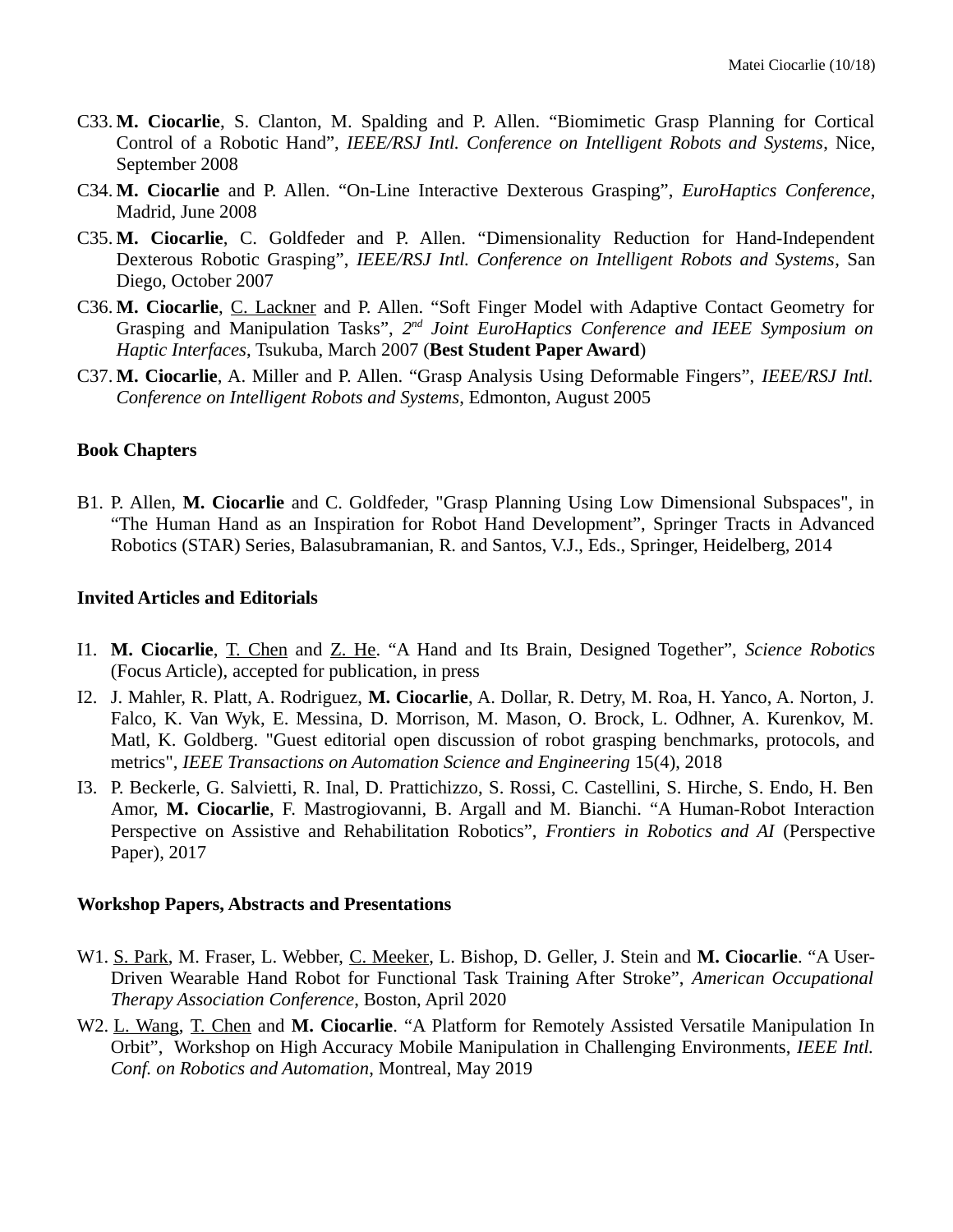- C33. **M. Ciocarlie**, S. Clanton, M. Spalding and P. Allen. "Biomimetic Grasp Planning for Cortical Control of a Robotic Hand", *IEEE/RSJ Intl. Conference on Intelligent Robots and Systems*, Nice, September 2008
- C34. **M. Ciocarlie** and P. Allen. "On-Line Interactive Dexterous Grasping", *EuroHaptics Conference*, Madrid, June 2008
- C35. **M. Ciocarlie**, C. Goldfeder and P. Allen. "Dimensionality Reduction for Hand-Independent Dexterous Robotic Grasping", *IEEE/RSJ Intl. Conference on Intelligent Robots and Systems*, San Diego, October 2007
- C36. **M. Ciocarlie**, C. Lackner and P. Allen. "Soft Finger Model with Adaptive Contact Geometry for Grasping and Manipulation Tasks", 2<sup>nd</sup> Joint EuroHaptics Conference and IEEE Symposium on *Haptic Interfaces*, Tsukuba, March 2007 (**Best Student Paper Award**)
- C37. **M. Ciocarlie**, A. Miller and P. Allen. "Grasp Analysis Using Deformable Fingers", *IEEE/RSJ Intl. Conference on Intelligent Robots and Systems*, Edmonton, August 2005

#### **Book Chapters**

B1. P. Allen, **M. Ciocarlie** and C. Goldfeder, "Grasp Planning Using Low Dimensional Subspaces", in "The Human Hand as an Inspiration for Robot Hand Development", Springer Tracts in Advanced Robotics (STAR) Series, Balasubramanian, R. and Santos, V.J., Eds., Springer, Heidelberg, 2014

#### **Invited Articles and Editorials**

- I1. **M. Ciocarlie**, T. Chen and Z. He. "A Hand and Its Brain, Designed Together", *Science Robotics* (Focus Article), accepted for publication, in press
- I2. J. Mahler, R. Platt, A. Rodriguez, **M. Ciocarlie**, A. Dollar, R. Detry, M. Roa, H. Yanco, A. Norton, J. Falco, K. Van Wyk, E. Messina, D. Morrison, M. Mason, O. Brock, L. Odhner, A. Kurenkov, M. Matl, K. Goldberg. "Guest editorial open discussion of robot grasping benchmarks, protocols, and metrics", *IEEE Transactions on Automation Science and Engineering* 15(4), 2018
- I3. P. Beckerle, G. Salvietti, R. Inal, D. Prattichizzo, S. Rossi, C. Castellini, S. Hirche, S. Endo, H. Ben Amor, **M. Ciocarlie**, F. Mastrogiovanni, B. Argall and M. Bianchi. "A Human-Robot Interaction Perspective on Assistive and Rehabilitation Robotics", *Frontiers in Robotics and AI* (Perspective Paper), 2017

#### **Workshop Papers, Abstracts and Presentations**

- W1. S. Park, M. Fraser, L. Webber, C. Meeker, L. Bishop, D. Geller, J. Stein and **M. Ciocarlie**. "A User-Driven Wearable Hand Robot for Functional Task Training After Stroke", *American Occupational Therapy Association Conference*, Boston, April 2020
- W2. L. Wang, T. Chen and **M. Ciocarlie**. "A Platform for Remotely Assisted Versatile Manipulation In Orbit", Workshop on High Accuracy Mobile Manipulation in Challenging Environments, *IEEE Intl. Conf. on Robotics and Automation*, Montreal, May 2019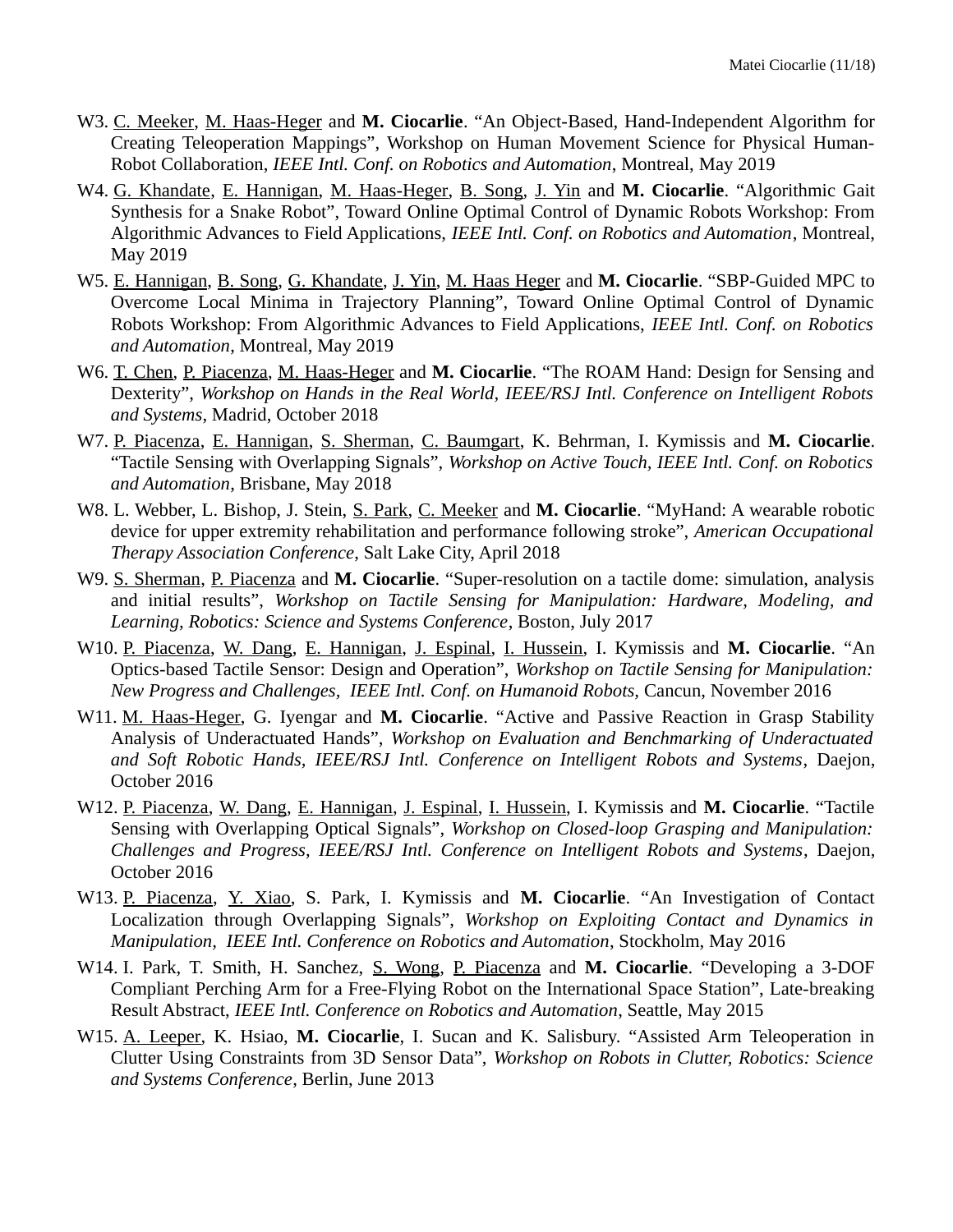- W3. C. Meeker, M. Haas-Heger and **M. Ciocarlie**. "An Object-Based, Hand-Independent Algorithm for Creating Teleoperation Mappings", Workshop on Human Movement Science for Physical Human-Robot Collaboration, *IEEE Intl. Conf. on Robotics and Automation*, Montreal, May 2019
- W4. G. Khandate, E. Hannigan, M. Haas-Heger, B. Song, J. Yin and **M. Ciocarlie**. "Algorithmic Gait Synthesis for a Snake Robot", Toward Online Optimal Control of Dynamic Robots Workshop: From Algorithmic Advances to Field Applications, *IEEE Intl. Conf. on Robotics and Automation*, Montreal, May 2019
- W5. E. Hannigan, B. Song, G. Khandate, J. Yin, M. Haas Heger and **M. Ciocarlie**. "SBP-Guided MPC to Overcome Local Minima in Trajectory Planning", Toward Online Optimal Control of Dynamic Robots Workshop: From Algorithmic Advances to Field Applications, *IEEE Intl. Conf. on Robotics and Automation*, Montreal, May 2019
- W6. T. Chen, P. Piacenza, M. Haas-Heger and **M. Ciocarlie**. "The ROAM Hand: Design for Sensing and Dexterity", *Workshop on Hands in the Real World, IEEE/RSJ Intl. Conference on Intelligent Robots and Systems*, Madrid, October 2018
- W7. P. Piacenza, E. Hannigan, S. Sherman, C. Baumgart, K. Behrman, I. Kymissis and **M. Ciocarlie**. "Tactile Sensing with Overlapping Signals", *Workshop on Active Touch, IEEE Intl. Conf. on Robotics and Automation*, Brisbane, May 2018
- W8. L. Webber, L. Bishop, J. Stein, S. Park, C. Meeker and **M. Ciocarlie**. "MyHand: A wearable robotic device for upper extremity rehabilitation and performance following stroke", *American Occupational Therapy Association Conference*, Salt Lake City, April 2018
- W9. S. Sherman, P. Piacenza and **M. Ciocarlie**. "Super-resolution on a tactile dome: simulation, analysis and initial results", *Workshop on Tactile Sensing for Manipulation: Hardware, Modeling, and Learning, Robotics: Science and Systems Conference*, Boston, July 2017
- W10. P. Piacenza, W. Dang, E. Hannigan, J. Espinal, I. Hussein, I. Kymissis and **M. Ciocarlie**. "An Optics-based Tactile Sensor: Design and Operation", *Workshop on Tactile Sensing for Manipulation: New Progress and Challenges, IEEE Intl. Conf. on Humanoid Robots,* Cancun, November 2016
- W11. M. Haas-Heger, G. Iyengar and **M. Ciocarlie**. "Active and Passive Reaction in Grasp Stability Analysis of Underactuated Hands", *Workshop on Evaluation and Benchmarking of Underactuated and Soft Robotic Hands, IEEE/RSJ Intl. Conference on Intelligent Robots and Systems*, Daejon, October 2016
- W12. P. Piacenza, W. Dang, E. Hannigan, J. Espinal, I. Hussein, I. Kymissis and **M. Ciocarlie**. "Tactile Sensing with Overlapping Optical Signals", *Workshop on Closed-loop Grasping and Manipulation: Challenges and Progress, IEEE/RSJ Intl. Conference on Intelligent Robots and Systems*, Daejon, October 2016
- W13. P. Piacenza, Y. Xiao, S. Park, I. Kymissis and **M. Ciocarlie**. "An Investigation of Contact Localization through Overlapping Signals", *Workshop on Exploiting Contact and Dynamics in Manipulation, IEEE Intl. Conference on Robotics and Automation*, Stockholm, May 2016
- W14. I. Park, T. Smith, H. Sanchez, S. Wong, P. Piacenza and **M. Ciocarlie**. "Developing a 3-DOF Compliant Perching Arm for a Free-Flying Robot on the International Space Station", Late-breaking Result Abstract, *IEEE Intl. Conference on Robotics and Automation*, Seattle, May 2015
- W15. A. Leeper, K. Hsiao, **M. Ciocarlie**, I. Sucan and K. Salisbury. "Assisted Arm Teleoperation in Clutter Using Constraints from 3D Sensor Data", *Workshop on Robots in Clutter, Robotics: Science and Systems Conference*, Berlin, June 2013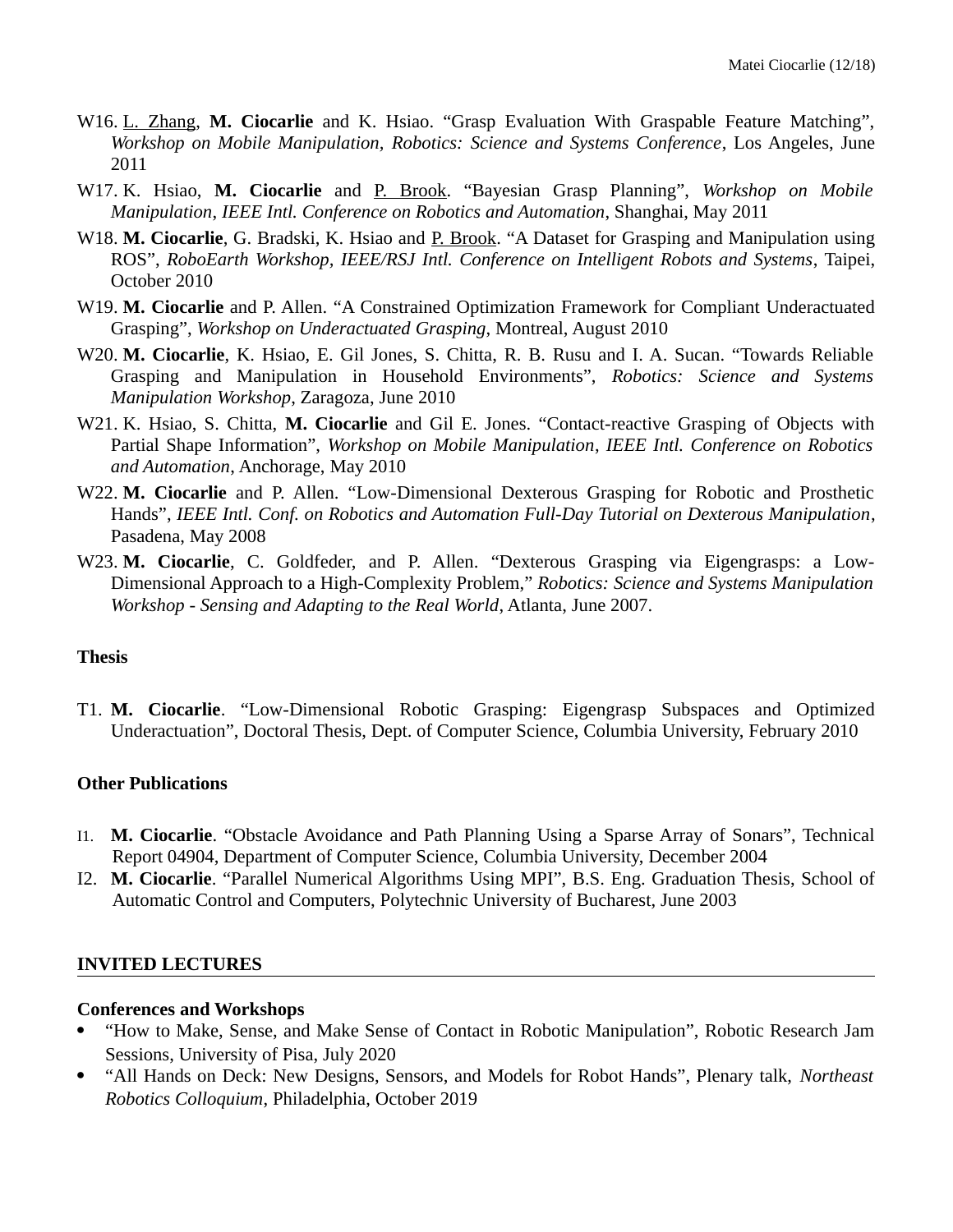- W16. L. Zhang, **M. Ciocarlie** and K. Hsiao. "Grasp Evaluation With Graspable Feature Matching", *Workshop on Mobile Manipulation, Robotics: Science and Systems Conference*, Los Angeles, June 2011
- W17. K. Hsiao, **M. Ciocarlie** and P. Brook. "Bayesian Grasp Planning", *Workshop on Mobile Manipulation*, *IEEE Intl. Conference on Robotics and Automation*, Shanghai, May 2011
- W18. M. Ciocarlie, G. Bradski, K. Hsiao and P. Brook. "A Dataset for Grasping and Manipulation using ROS", *RoboEarth Workshop, IEEE/RSJ Intl. Conference on Intelligent Robots and Systems*, Taipei, October 2010
- W19. **M. Ciocarlie** and P. Allen. "A Constrained Optimization Framework for Compliant Underactuated Grasping", *Workshop on Underactuated Grasping*, Montreal, August 2010
- W20. **M. Ciocarlie**, K. Hsiao, E. Gil Jones, S. Chitta, R. B. Rusu and I. A. Sucan. "Towards Reliable Grasping and Manipulation in Household Environments", *Robotics: Science and Systems Manipulation Workshop*, Zaragoza, June 2010
- W21. K. Hsiao, S. Chitta, **M. Ciocarlie** and Gil E. Jones. "Contact-reactive Grasping of Objects with Partial Shape Information", *Workshop on Mobile Manipulation*, *IEEE Intl. Conference on Robotics and Automation*, Anchorage, May 2010
- W22. **M. Ciocarlie** and P. Allen. "Low-Dimensional Dexterous Grasping for Robotic and Prosthetic Hands", *IEEE Intl. Conf. on Robotics and Automation Full-Day Tutorial on Dexterous Manipulation*, Pasadena, May 2008
- W23. **M. Ciocarlie**, C. Goldfeder, and P. Allen. "Dexterous Grasping via Eigengrasps: a Low-Dimensional Approach to a High-Complexity Problem," *Robotics: Science and Systems Manipulation Workshop - Sensing and Adapting to the Real World*, Atlanta, June 2007.

#### **Thesis**

T1. **M. Ciocarlie**. "Low-Dimensional Robotic Grasping: Eigengrasp Subspaces and Optimized Underactuation", Doctoral Thesis, Dept. of Computer Science, Columbia University, February 2010

#### **Other Publications**

- I1. **M. Ciocarlie**. "Obstacle Avoidance and Path Planning Using a Sparse Array of Sonars", Technical Report 04904, Department of Computer Science, Columbia University, December 2004
- I2. **M. Ciocarlie**. "Parallel Numerical Algorithms Using MPI", B.S. Eng. Graduation Thesis, School of Automatic Control and Computers, Polytechnic University of Bucharest, June 2003

#### **INVITED LECTURES**

#### **Conferences and Workshops**

- "How to Make, Sense, and Make Sense of Contact in Robotic Manipulation", Robotic Research Jam Sessions, University of Pisa, July 2020
- "All Hands on Deck: New Designs, Sensors, and Models for Robot Hands", Plenary talk, *Northeast Robotics Colloquium*, Philadelphia, October 2019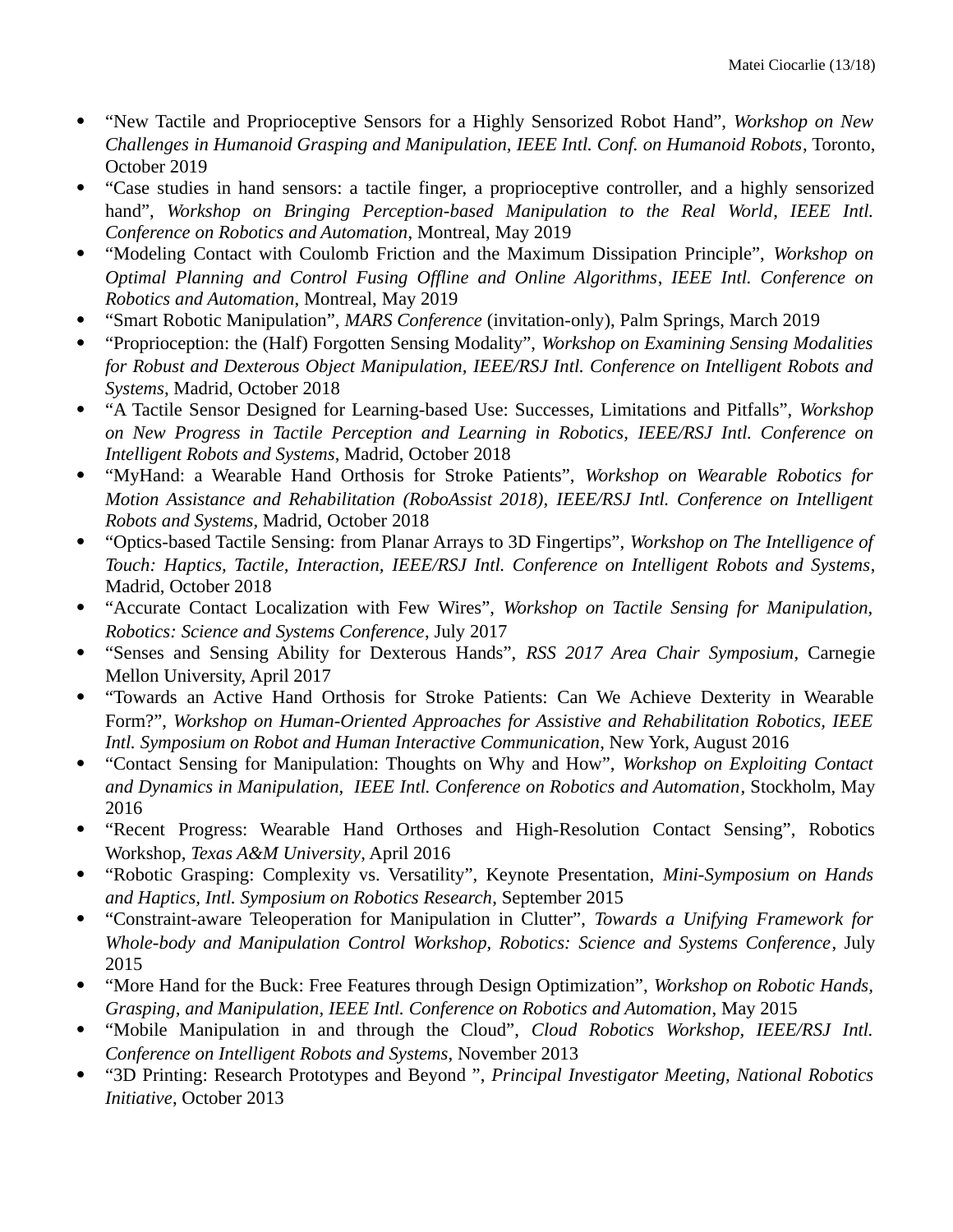- "New Tactile and Proprioceptive Sensors for a Highly Sensorized Robot Hand", *Workshop on New Challenges in Humanoid Grasping and Manipulation, IEEE Intl. Conf. on Humanoid Robots*, Toronto, October 2019
- "Case studies in hand sensors: a tactile finger, a proprioceptive controller, and a highly sensorized hand", *Workshop on Bringing Perception-based Manipulation to the Real World*, *IEEE Intl. Conference on Robotics and Automation*, Montreal, May 2019
- "Modeling Contact with Coulomb Friction and the Maximum Dissipation Principle", *Workshop on Optimal Planning and Control Fusing Offline and Online Algorithms*, *IEEE Intl. Conference on Robotics and Automation*, Montreal, May 2019
- "Smart Robotic Manipulation", *MARS Conference* (invitation-only), Palm Springs, March 2019
- "Proprioception: the (Half) Forgotten Sensing Modality", *Workshop on Examining Sensing Modalities for Robust and Dexterous Object Manipulation, IEEE/RSJ Intl. Conference on Intelligent Robots and Systems*, Madrid, October 2018
- "A Tactile Sensor Designed for Learning-based Use: Successes, Limitations and Pitfalls", *Workshop on New Progress in Tactile Perception and Learning in Robotics, IEEE/RSJ Intl. Conference on Intelligent Robots and Systems*, Madrid, October 2018
- "MyHand: a Wearable Hand Orthosis for Stroke Patients", *Workshop on Wearable Robotics for Motion Assistance and Rehabilitation (RoboAssist 2018), IEEE/RSJ Intl. Conference on Intelligent Robots and Systems*, Madrid, October 2018
- "Optics-based Tactile Sensing: from Planar Arrays to 3D Fingertips", *Workshop on The Intelligence of Touch: Haptics, Tactile, Interaction, IEEE/RSJ Intl. Conference on Intelligent Robots and Systems*, Madrid, October 2018
- "Accurate Contact Localization with Few Wires", *Workshop on Tactile Sensing for Manipulation, Robotics: Science and Systems Conference*, July 2017
- "Senses and Sensing Ability for Dexterous Hands", *RSS 2017 Area Chair Symposium*, Carnegie Mellon University, April 2017
- "Towards an Active Hand Orthosis for Stroke Patients: Can We Achieve Dexterity in Wearable Form?", *Workshop on Human-Oriented Approaches for Assistive and Rehabilitation Robotics, IEEE Intl. Symposium on Robot and Human Interactive Communication*, New York, August 2016
- "Contact Sensing for Manipulation: Thoughts on Why and How", *Workshop on Exploiting Contact and Dynamics in Manipulation, IEEE Intl. Conference on Robotics and Automation*, Stockholm, May 2016
- "Recent Progress: Wearable Hand Orthoses and High-Resolution Contact Sensing", Robotics Workshop, *Texas A&M University*, April 2016
- "Robotic Grasping: Complexity vs. Versatility", Keynote Presentation, *Mini-Symposium on Hands and Haptics, Intl. Symposium on Robotics Research*, September 2015
- "Constraint-aware Teleoperation for Manipulation in Clutter", *Towards a Unifying Framework for Whole-body and Manipulation Control Workshop, Robotics: Science and Systems Conference*, July 2015
- "More Hand for the Buck: Free Features through Design Optimization", *Workshop on Robotic Hands, Grasping, and Manipulation, IEEE Intl. Conference on Robotics and Automation*, May 2015
- "Mobile Manipulation in and through the Cloud", *Cloud Robotics Workshop, IEEE/RSJ Intl. Conference on Intelligent Robots and Systems*, November 2013
- "3D Printing: Research Prototypes and Beyond ", *Principal Investigator Meeting, National Robotics Initiative*, October 2013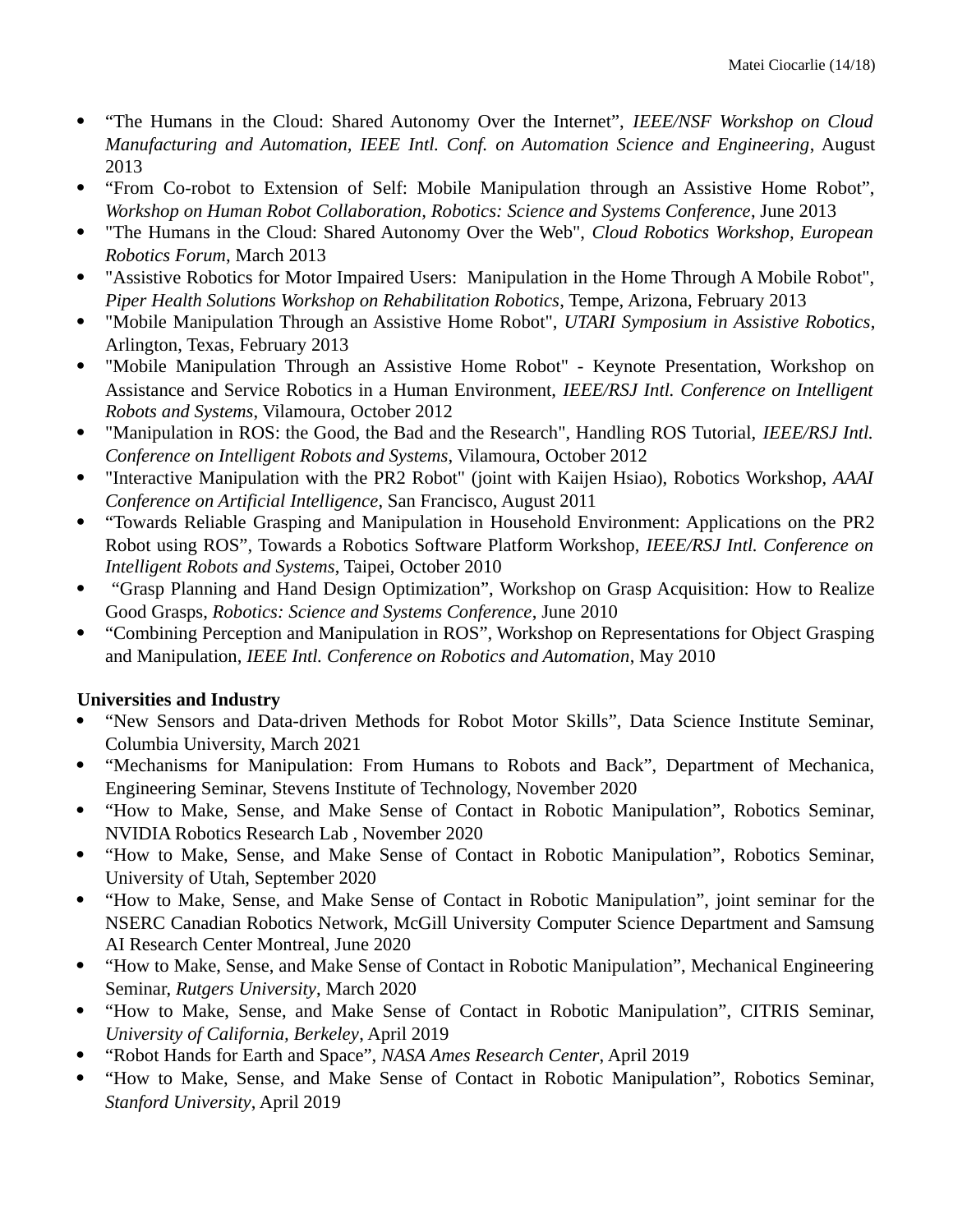- "The Humans in the Cloud: Shared Autonomy Over the Internet", *IEEE/NSF Workshop on Cloud Manufacturing and Automation, IEEE Intl. Conf. on Automation Science and Engineering*, August 2013
- "From Co-robot to Extension of Self: Mobile Manipulation through an Assistive Home Robot", *Workshop on Human Robot Collaboration, Robotics: Science and Systems Conference*, June 2013
- "The Humans in the Cloud: Shared Autonomy Over the Web", *Cloud Robotics Workshop, European Robotics Forum*, March 2013
- "Assistive Robotics for Motor Impaired Users: Manipulation in the Home Through A Mobile Robot", *Piper Health Solutions Workshop on Rehabilitation Robotics*, Tempe, Arizona, February 2013
- "Mobile Manipulation Through an Assistive Home Robot", *UTARI Symposium in Assistive Robotics*, Arlington, Texas, February 2013
- "Mobile Manipulation Through an Assistive Home Robot" Keynote Presentation, Workshop on Assistance and Service Robotics in a Human Environment, *IEEE/RSJ Intl. Conference on Intelligent Robots and Systems*, Vilamoura, October 2012
- "Manipulation in ROS: the Good, the Bad and the Research", Handling ROS Tutorial, *IEEE/RSJ Intl. Conference on Intelligent Robots and Systems*, Vilamoura, October 2012
- "Interactive Manipulation with the PR2 Robot" (joint with Kaijen Hsiao), Robotics Workshop, *AAAI Conference on Artificial Intelligence*, San Francisco, August 2011
- "Towards Reliable Grasping and Manipulation in Household Environment: Applications on the PR2 Robot using ROS", Towards a Robotics Software Platform Workshop, *IEEE/RSJ Intl. Conference on Intelligent Robots and Systems*, Taipei, October 2010
- "Grasp Planning and Hand Design Optimization", Workshop on Grasp Acquisition: How to Realize Good Grasps, *Robotics: Science and Systems Conference*, June 2010
- "Combining Perception and Manipulation in ROS", Workshop on Representations for Object Grasping and Manipulation, *IEEE Intl. Conference on Robotics and Automation*, May 2010

# **Universities and Industry**

- "New Sensors and Data-driven Methods for Robot Motor Skills", Data Science Institute Seminar, Columbia University, March 2021
- "Mechanisms for Manipulation: From Humans to Robots and Back", Department of Mechanica, Engineering Seminar, Stevens Institute of Technology, November 2020
- "How to Make, Sense, and Make Sense of Contact in Robotic Manipulation", Robotics Seminar, NVIDIA Robotics Research Lab , November 2020
- "How to Make, Sense, and Make Sense of Contact in Robotic Manipulation", Robotics Seminar, University of Utah, September 2020
- "How to Make, Sense, and Make Sense of Contact in Robotic Manipulation", joint seminar for the NSERC Canadian Robotics Network, McGill University Computer Science Department and Samsung AI Research Center Montreal, June 2020
- "How to Make, Sense, and Make Sense of Contact in Robotic Manipulation", Mechanical Engineering Seminar, *Rutgers University*, March 2020
- "How to Make, Sense, and Make Sense of Contact in Robotic Manipulation", CITRIS Seminar, *University of California, Berkeley*, April 2019
- "Robot Hands for Earth and Space", *NASA Ames Research Center*, April 2019
- "How to Make, Sense, and Make Sense of Contact in Robotic Manipulation", Robotics Seminar, *Stanford University*, April 2019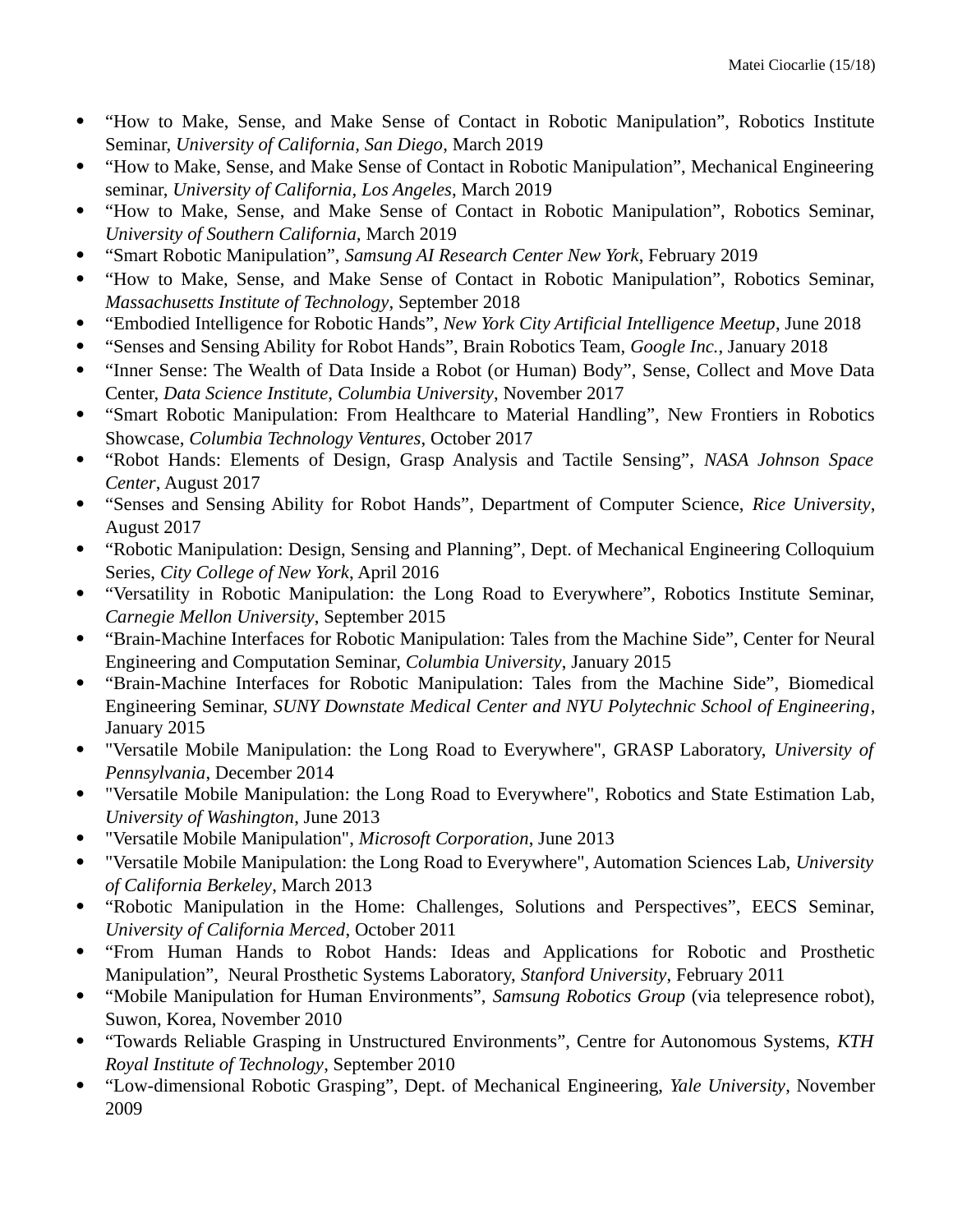- "How to Make, Sense, and Make Sense of Contact in Robotic Manipulation", Robotics Institute Seminar, *University of California, San Diego*, March 2019
- "How to Make, Sense, and Make Sense of Contact in Robotic Manipulation", Mechanical Engineering seminar, *University of California, Los Angeles*, March 2019
- "How to Make, Sense, and Make Sense of Contact in Robotic Manipulation", Robotics Seminar, *University of Southern California,* March 2019
- "Smart Robotic Manipulation", *Samsung AI Research Center New York*, February 2019
- "How to Make, Sense, and Make Sense of Contact in Robotic Manipulation", Robotics Seminar, *Massachusetts Institute of Technology*, September 2018
- "Embodied Intelligence for Robotic Hands", *New York City Artificial Intelligence Meetup*, June 2018
- "Senses and Sensing Ability for Robot Hands", Brain Robotics Team, *Google Inc.*, January 2018
- "Inner Sense: The Wealth of Data Inside a Robot (or Human) Body", Sense, Collect and Move Data Center, *Data Science Institute, Columbia University*, November 2017
- "Smart Robotic Manipulation: From Healthcare to Material Handling", New Frontiers in Robotics Showcase, *Columbia Technology Ventures*, October 2017
- "Robot Hands: Elements of Design, Grasp Analysis and Tactile Sensing", *NASA Johnson Space Center*, August 2017
- "Senses and Sensing Ability for Robot Hands", Department of Computer Science, *Rice University*, August 2017
- "Robotic Manipulation: Design, Sensing and Planning", Dept. of Mechanical Engineering Colloquium Series, *City College of New York*, April 2016
- "Versatility in Robotic Manipulation: the Long Road to Everywhere", Robotics Institute Seminar, *Carnegie Mellon University*, September 2015
- "Brain-Machine Interfaces for Robotic Manipulation: Tales from the Machine Side", Center for Neural Engineering and Computation Seminar, *Columbia University*, January 2015
- "Brain-Machine Interfaces for Robotic Manipulation: Tales from the Machine Side", Biomedical Engineering Seminar, *SUNY Downstate Medical Center and NYU Polytechnic School of Engineering*, January 2015
- "Versatile Mobile Manipulation: the Long Road to Everywhere", GRASP Laboratory, *University of Pennsylvania*, December 2014
- "Versatile Mobile Manipulation: the Long Road to Everywhere", Robotics and State Estimation Lab, *University of Washington*, June 2013
- "Versatile Mobile Manipulation", *Microsoft Corporation*, June 2013
- "Versatile Mobile Manipulation: the Long Road to Everywhere", Automation Sciences Lab, *University of California Berkeley*, March 2013
- "Robotic Manipulation in the Home: Challenges, Solutions and Perspectives", EECS Seminar, *University of California Merced*, October 2011
- "From Human Hands to Robot Hands: Ideas and Applications for Robotic and Prosthetic Manipulation", Neural Prosthetic Systems Laboratory, *Stanford University*, February 2011
- "Mobile Manipulation for Human Environments", *Samsung Robotics Group* (via telepresence robot), Suwon, Korea, November 2010
- "Towards Reliable Grasping in Unstructured Environments", Centre for Autonomous Systems, *KTH Royal Institute of Technology*, September 2010
- "Low-dimensional Robotic Grasping", Dept. of Mechanical Engineering, *Yale University*, November 2009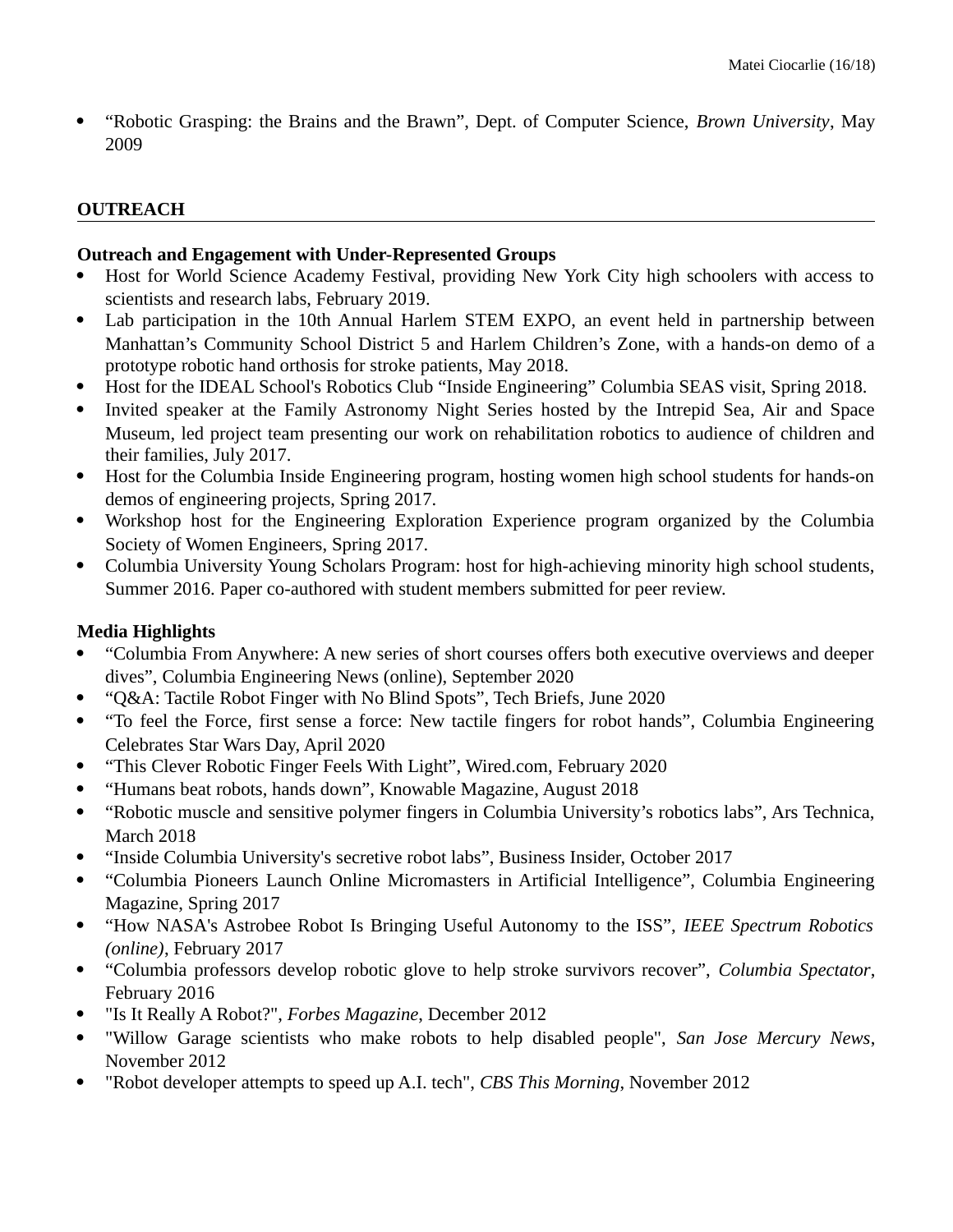"Robotic Grasping: the Brains and the Brawn", Dept. of Computer Science, *Brown University*, May 2009

### **OUTREACH**

#### **Outreach and Engagement with Under-Represented Groups**

- Host for World Science Academy Festival, providing New York City high schoolers with access to scientists and research labs, February 2019.
- Lab participation in the 10th Annual Harlem STEM EXPO, an event held in partnership between Manhattan's Community School District 5 and Harlem Children's Zone, with a hands-on demo of a prototype robotic hand orthosis for stroke patients, May 2018.
- Host for the IDEAL School's Robotics Club "Inside Engineering" Columbia SEAS visit, Spring 2018.
- Invited speaker at the Family Astronomy Night Series hosted by the Intrepid Sea, Air and Space Museum, led project team presenting our work on rehabilitation robotics to audience of children and their families, July 2017.
- Host for the Columbia Inside Engineering program, hosting women high school students for hands-on demos of engineering projects, Spring 2017.
- Workshop host for the Engineering Exploration Experience program organized by the Columbia Society of Women Engineers, Spring 2017.
- Columbia University Young Scholars Program: host for high-achieving minority high school students, Summer 2016. Paper co-authored with student members submitted for peer review.

### **Media Highlights**

- "Columbia From Anywhere: A new series of short courses offers both executive overviews and deeper dives", Columbia Engineering News (online), September 2020
- "Q&A: Tactile Robot Finger with No Blind Spots", Tech Briefs, June 2020
- "To feel the Force, first sense a force: New tactile fingers for robot hands", Columbia Engineering Celebrates Star Wars Day, April 2020
- "This Clever Robotic Finger Feels With Light", Wired.com, February 2020
- "Humans beat robots, hands down", Knowable Magazine, August 2018
- "Robotic muscle and sensitive polymer fingers in Columbia University's robotics labs", Ars Technica, March 2018
- "Inside Columbia University's secretive robot labs", Business Insider, October 2017
- "Columbia Pioneers Launch Online Micromasters in Artificial Intelligence", Columbia Engineering Magazine, Spring 2017
- "How NASA's Astrobee Robot Is Bringing Useful Autonomy to the ISS", *IEEE Spectrum Robotics (online)*, February 2017
- "Columbia professors develop robotic glove to help stroke survivors recover", *Columbia Spectator*, February 2016
- "Is It Really A Robot?", *Forbes Magazine*, December 2012
- "Willow Garage scientists who make robots to help disabled people", *San Jose Mercury News*, November 2012
- "Robot developer attempts to speed up A.I. tech", *CBS This Morning*, November 2012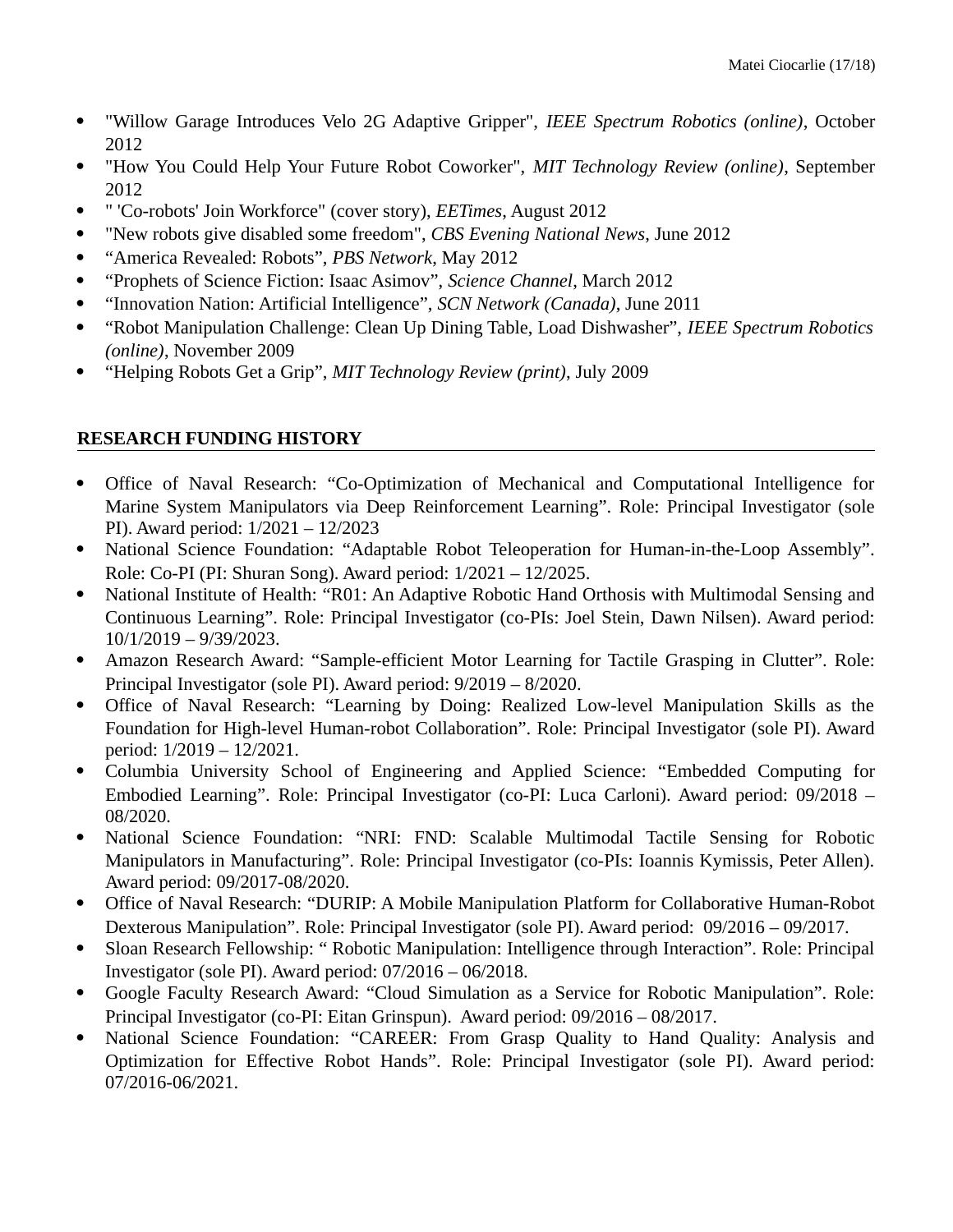- "Willow Garage Introduces Velo 2G Adaptive Gripper", *IEEE Spectrum Robotics (online)*, October 2012
- "How You Could Help Your Future Robot Coworker", *MIT Technology Review (online)*, September 2012
- " 'Co-robots' Join Workforce" (cover story), *EETimes*, August 2012
- "New robots give disabled some freedom", *CBS Evening National News*, June 2012
- "America Revealed: Robots", *PBS Network*, May 2012
- "Prophets of Science Fiction: Isaac Asimov", *Science Channel*, March 2012
- "Innovation Nation: Artificial Intelligence", *SCN Network (Canada)*, June 2011
- "Robot Manipulation Challenge: Clean Up Dining Table, Load Dishwasher", *IEEE Spectrum Robotics (online)*, November 2009
- "Helping Robots Get a Grip", *MIT Technology Review (print)*, July 2009

# **RESEARCH FUNDING HISTORY**

- Office of Naval Research: "Co-Optimization of Mechanical and Computational Intelligence for Marine System Manipulators via Deep Reinforcement Learning". Role: Principal Investigator (sole PI). Award period: 1/2021 – 12/2023
- National Science Foundation: "Adaptable Robot Teleoperation for Human-in-the-Loop Assembly". Role: Co-PI (PI: Shuran Song). Award period: 1/2021 – 12/2025.
- National Institute of Health: "R01: An Adaptive Robotic Hand Orthosis with Multimodal Sensing and Continuous Learning". Role: Principal Investigator (co-PIs: Joel Stein, Dawn Nilsen). Award period: 10/1/2019 – 9/39/2023.
- Amazon Research Award: "Sample-efficient Motor Learning for Tactile Grasping in Clutter". Role: Principal Investigator (sole PI). Award period: 9/2019 – 8/2020.
- Office of Naval Research: "Learning by Doing: Realized Low-level Manipulation Skills as the Foundation for High-level Human-robot Collaboration". Role: Principal Investigator (sole PI). Award period: 1/2019 – 12/2021.
- Columbia University School of Engineering and Applied Science: "Embedded Computing for Embodied Learning". Role: Principal Investigator (co-PI: Luca Carloni). Award period: 09/2018 – 08/2020.
- National Science Foundation: "NRI: FND: Scalable Multimodal Tactile Sensing for Robotic Manipulators in Manufacturing". Role: Principal Investigator (co-PIs: Ioannis Kymissis, Peter Allen). Award period: 09/2017-08/2020.
- Office of Naval Research: "DURIP: A Mobile Manipulation Platform for Collaborative Human-Robot Dexterous Manipulation". Role: Principal Investigator (sole PI). Award period: 09/2016 – 09/2017.
- Sloan Research Fellowship: " Robotic Manipulation: Intelligence through Interaction". Role: Principal Investigator (sole PI). Award period: 07/2016 – 06/2018.
- Google Faculty Research Award: "Cloud Simulation as a Service for Robotic Manipulation". Role: Principal Investigator (co-PI: Eitan Grinspun). Award period: 09/2016 – 08/2017.
- National Science Foundation: "CAREER: From Grasp Quality to Hand Quality: Analysis and Optimization for Effective Robot Hands". Role: Principal Investigator (sole PI). Award period: 07/2016-06/2021.